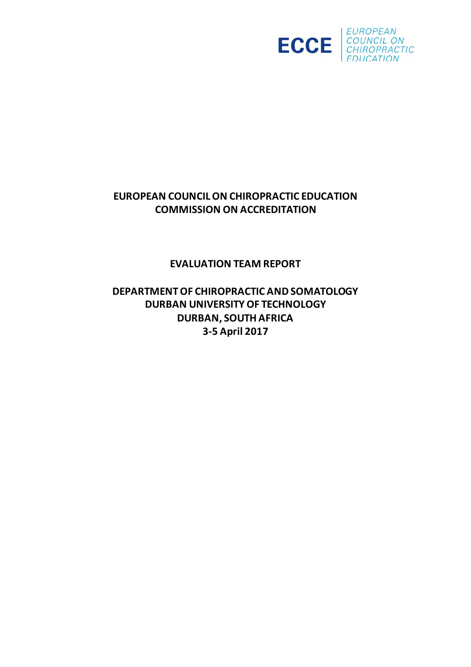

# **EUROPEAN COUNCILON CHIROPRACTIC EDUCATION COMMISSION ON ACCREDITATION**

**EVALUATION TEAM REPORT**

**DEPARTMENTOF CHIROPRACTIC AND SOMATOLOGY DURBAN UNIVERSITY OF TECHNOLOGY DURBAN, SOUTH AFRICA 3-5 April 2017**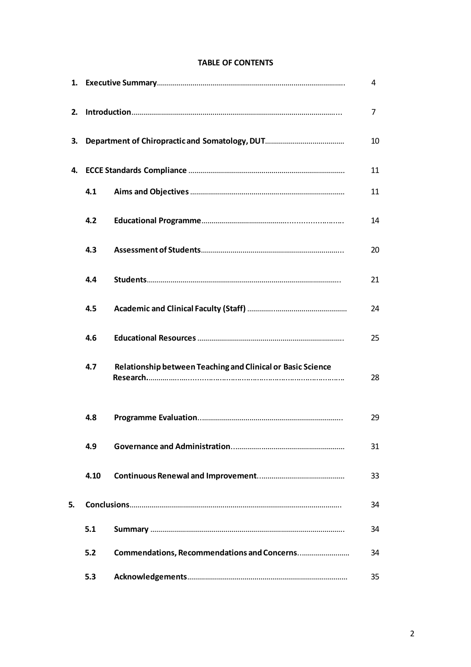# **TABLE OF CONTENTS**

|    |      |                                                             | 4  |
|----|------|-------------------------------------------------------------|----|
| 2. |      |                                                             | 7  |
| 3. |      |                                                             | 10 |
|    |      |                                                             | 11 |
|    | 4.1  |                                                             | 11 |
|    | 4.2  |                                                             | 14 |
|    | 4.3  |                                                             | 20 |
|    | 4.4  |                                                             | 21 |
|    | 4.5  |                                                             | 24 |
|    | 4.6  |                                                             | 25 |
|    | 4.7  | Relationship between Teaching and Clinical or Basic Science | 28 |
|    | 4.8  |                                                             | 29 |
|    | 4.9  |                                                             | 31 |
|    | 4.10 |                                                             | 33 |
| 5. |      |                                                             | 34 |
|    | 5.1  |                                                             | 34 |
|    | 5.2  |                                                             | 34 |
|    | 5.3  |                                                             | 35 |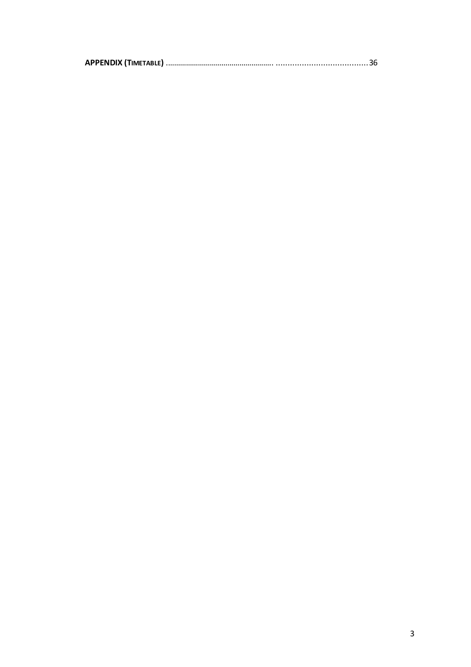|--|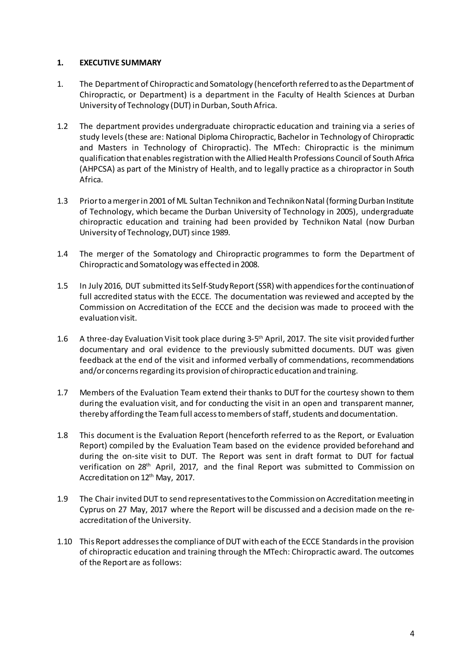### **1. EXECUTIVE SUMMARY**

- 1. The Department of Chiropractic and Somatology (henceforth referred to asthe Department of Chiropractic, or Department) is a department in the Faculty of Health Sciences at Durban University of Technology (DUT) in Durban, South Africa.
- 1.2 The department provides undergraduate chiropractic education and training via a series of study levels(these are: National Diploma Chiropractic, Bachelor in Technology of Chiropractic and Masters in Technology of Chiropractic). The MTech: Chiropractic is the minimum qualification that enables registration with the Allied Health Professions Council of South Africa (AHPCSA) as part of the Ministry of Health, and to legally practice as a chiropractor in South Africa.
- 1.3 Prior to a merger in 2001 of ML Sultan Technikon and Technikon Natal (forming Durban Institute of Technology, which became the Durban University of Technology in 2005), undergraduate chiropractic education and training had been provided by Technikon Natal (now Durban University of Technology, DUT) since 1989.
- 1.4 The merger of the Somatology and Chiropractic programmes to form the Department of Chiropractic and Somatology was effected in 2008.
- 1.5 In July 2016, DUT submitted its Self-StudyReport(SSR) with appendicesforthe continuationof full accredited status with the ECCE. The documentation was reviewed and accepted by the Commission on Accreditation of the ECCE and the decision was made to proceed with the evaluation visit.
- 1.6 A three-day Evaluation Visit took place during 3-5<sup>th</sup> April, 2017. The site visit provided further documentary and oral evidence to the previously submitted documents. DUT was given feedback at the end of the visit and informed verbally of commendations, recommendations and/or concerns regarding its provision of chiropractic education and training.
- 1.7 Members of the Evaluation Team extend their thanks to DUT for the courtesy shown to them during the evaluation visit, and for conducting the visit in an open and transparent manner, thereby affording the Team full access to members of staff, students and documentation.
- 1.8 This document is the Evaluation Report (henceforth referred to as the Report, or Evaluation Report) compiled by the Evaluation Team based on the evidence provided beforehand and during the on-site visit to DUT. The Report was sent in draft format to DUT for factual verification on 28th April, 2017, and the final Report was submitted to Commission on Accreditation on 12<sup>th</sup> May, 2017.
- 1.9 The Chair invited DUT to send representatives to the Commission on Accreditation meeting in Cyprus on 27 May, 2017 where the Report will be discussed and a decision made on the reaccreditation of the University.
- 1.10 This Report addressesthe compliance of DUT with each of the ECCE Standardsin the provision of chiropractic education and training through the MTech: Chiropractic award. The outcomes of the Report are as follows: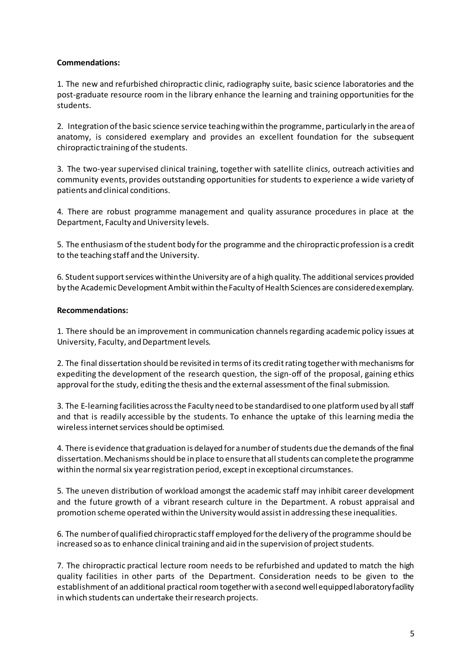# **Commendations:**

1. The new and refurbished chiropractic clinic, radiography suite, basic science laboratories and the post-graduate resource room in the library enhance the learning and training opportunities for the students.

2. Integration ofthe basic science service teachingwithin the programme, particularly in the areaof anatomy, is considered exemplary and provides an excellent foundation for the subsequent chiropractic training of the students.

3. The two-yearsupervised clinical training, together with satellite clinics, outreach activities and community events, provides outstanding opportunities forstudents to experience a wide variety of patients and clinical conditions.

4. There are robust programme management and quality assurance procedures in place at the Department, Faculty and University levels.

5. The enthusiasmofthe student body for the programme and the chiropracticprofession is a credit to the teaching staff and the University.

6. Student support services within the University are of a high quality. The additional services provided by the Academic Development Ambit within the Faculty of Health Sciences are considered exemplary.

### **Recommendations:**

1. There should be an improvement in communication channelsregarding academic policy issues at University, Faculty, and Department levels.

2. The final dissertation should be revisited in terms of its credit rating together with mechanisms for expediting the development of the research question, the sign-off of the proposal, gaining ethics approval for the study, editing the thesis and the external assessment of the final submission.

3. The E-learning facilities across the Faculty need to be standardised to one platform used by all staff and that is readily accessible by the students. To enhance the uptake of this learning media the wireless internet services should be optimised.

4. There is evidence that graduation is delayed for anumberofstudents due the demands ofthe final dissertation.Mechanismsshould be in place to ensurethat allstudents can completethe programme within the normal six year registration period, except in exceptional circumstances.

5. The uneven distribution of workload amongst the academic staff may inhibit career development and the future growth of a vibrant research culture in the Department. A robust appraisal and promotion scheme operated within the University would assistin addressing these inequalities.

6. The number of qualified chiropractic staff employed for the delivery of the programme should be increased so as to enhance clinical training and aid in the supervision of project students.

7. The chiropractic practical lecture room needs to be refurbished and updated to match the high quality facilities in other parts of the Department. Consideration needs to be given to the establishment of an additional practical roomtogetherwith a second wellequippedlaboratoryfacility inwhich students can undertake theirresearch projects.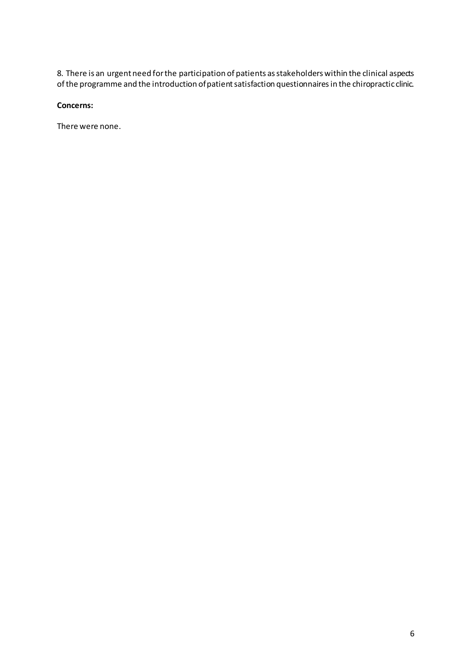8. There is an urgent need forthe participation of patients asstakeholders within the clinical aspects of the programme and the introduction of patient satisfaction questionnaires in the chiropractic clinic.

# **Concerns:**

There were none.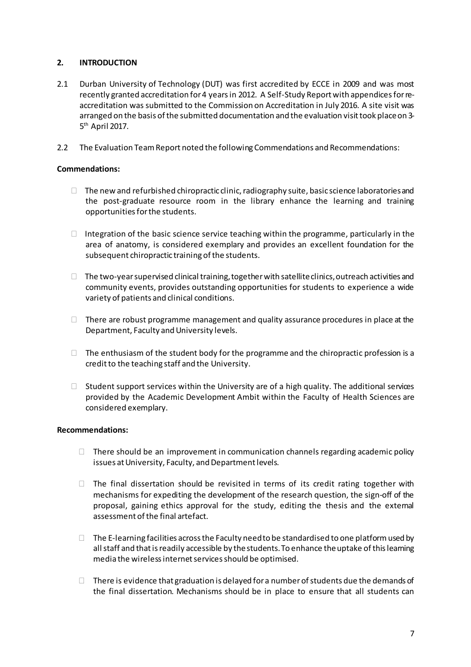# **2. INTRODUCTION**

- 2.1 Durban University of Technology (DUT) was first accredited by ECCE in 2009 and was most recently granted accreditation for 4 years in 2012. A Self-Study Report with appendices for reaccreditation was submitted to the Commission on Accreditation in July 2016. A site visit was arranged on the basis of the submitted documentation and the evaluation visit took place on 3-5<sup>th</sup> April 2017.
- 2.2 The Evaluation Team Report noted the following Commendations and Recommendations:

# **Commendations:**

- $\Box$  The new and refurbished chiropractic clinic, radiography suite, basic science laboratories and the post-graduate resource room in the library enhance the learning and training opportunities for the students.
- $\Box$  Integration of the basic science service teaching within the programme, particularly in the area of anatomy, is considered exemplary and provides an excellent foundation for the subsequent chiropractic training of the students.
- $\Box$  The two-year supervised clinical training, together with satellite clinics, outreach activities and community events, provides outstanding opportunities for students to experience a wide variety of patients and clinical conditions.
- $\Box$  There are robust programme management and quality assurance procedures in place at the Department, Faculty and University levels.
- $\Box$  The enthusiasm of the student body for the programme and the chiropractic profession is a creditto the teaching staff and the University.
- $\Box$  Student support services within the University are of a high quality. The additional services provided by the Academic Development Ambit within the Faculty of Health Sciences are considered exemplary.

# **Recommendations:**

- $\Box$  There should be an improvement in communication channels regarding academic policy issues at University, Faculty, and Department levels.
- $\Box$  The final dissertation should be revisited in terms of its credit rating together with mechanisms for expediting the development of the research question, the sign-off of the proposal, gaining ethics approval for the study, editing the thesis and the external assessment of the final artefact.
- $\Box$  The E-learning facilities across the Faculty need to be standardised to one platform used by all staff and that is readily accessible by the students. To enhance the uptake of this leaming media the wireless internet services should be optimised.
- $\Box$  There is evidence that graduation is delayed for a number of students due the demands of the final dissertation. Mechanisms should be in place to ensure that all students can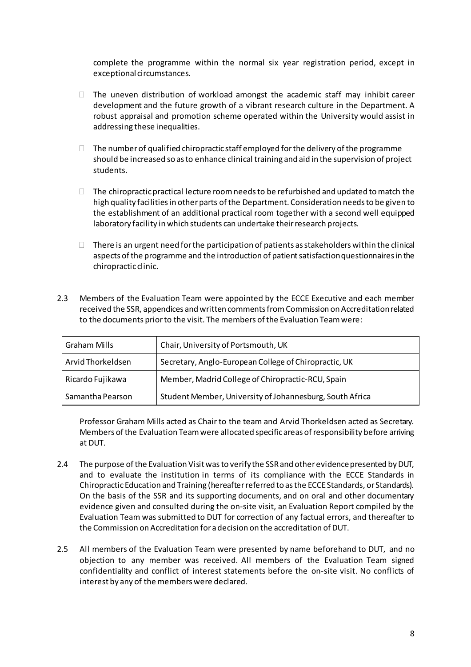complete the programme within the normal six year registration period, except in exceptional circumstances.

- $\Box$  The uneven distribution of workload amongst the academic staff may inhibit career development and the future growth of a vibrant research culture in the Department. A robust appraisal and promotion scheme operated within the University would assist in addressing these inequalities.
- $\Box$  The number of qualified chiropractic staff employed for the delivery of the programme should be increased so asto enhance clinical training and aid in the supervision of project students.
- $\Box$  The chiropractic practical lecture room needs to be refurbished and updated to match the high quality facilities in other parts of the Department. Consideration needs to be given to the establishment of an additional practical room together with a second well equipped laboratory facility in which students can undertake theirresearch projects.
- $\Box$  There is an urgent need for the participation of patients as stakeholders within the clinical aspects of the programme and the introduction of patient satisfaction questionnaires in the chiropractic clinic.
- 2.3 Members of the Evaluation Team were appointed by the ECCE Executive and each member received the SSR, appendices and written comments from Commission on Accreditation related to the documents priorto the visit. The members ofthe Evaluation Teamwere:

| Graham Mills      | Chair, University of Portsmouth, UK                      |
|-------------------|----------------------------------------------------------|
| Arvid Thorkeldsen | Secretary, Anglo-European College of Chiropractic, UK    |
| Ricardo Fujikawa  | Member, Madrid College of Chiropractic-RCU, Spain        |
| Samantha Pearson  | Student Member, University of Johannesburg, South Africa |

Professor Graham Mills acted as Chair to the team and Arvid Thorkeldsen acted as Secretary. Members ofthe Evaluation Teamwere allocated specificareas ofresponsibility before arriving at DUT.

- 2.4 The purpose of the Evaluation Visit was to verify the SSR and other evidence presented by DUT, and to evaluate the institution in terms of its compliance with the ECCE Standards in Chiropractic Education and Training (hereafter referred to as the ECCE Standards, or Standards). On the basis of the SSR and its supporting documents, and on oral and other documentary evidence given and consulted during the on-site visit, an Evaluation Report compiled by the Evaluation Team was submitted to DUT for correction of any factual errors, and thereafter to the Commission onAccreditation for adecision on the accreditation of DUT.
- 2.5 All members of the Evaluation Team were presented by name beforehand to DUT, and no objection to any member was received. All members of the Evaluation Team signed confidentiality and conflict of interest statements before the on-site visit. No conflicts of interest by any of the members were declared.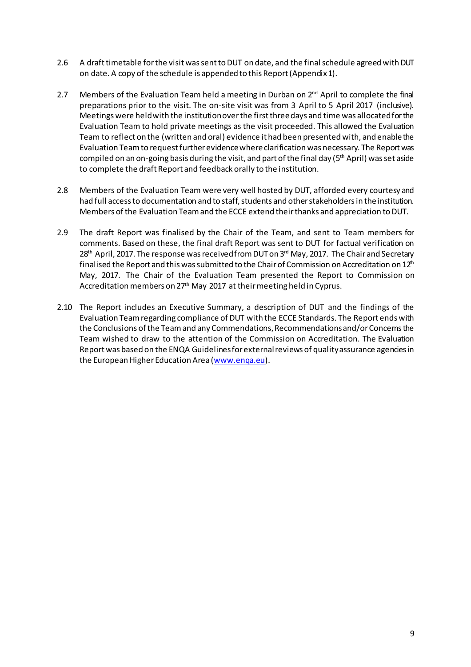- 2.6 A draft timetable for the visit was sent to DUT on date, and the final schedule agreed with DUT on date. A copy of the schedule is appended to this Report(Appendix1).
- 2.7 Members of the Evaluation Team held a meeting in Durban on  $2^{\text{nd}}$  April to complete the final preparations prior to the visit. The on-site visit was from 3 April to 5 April 2017 (inclusive). Meetings were heldwith the institutionoverthe firstthreedays and time was allocatedforthe Evaluation Team to hold private meetings as the visit proceeded. This allowed the Evaluation Team to reflect on the (written and oral) evidence ithad been presented with, and enablethe Evaluation Teamto requestfurther evidencewhereclarification was necessary. The Reportwas compiled on an on-going basis during the visit, and part of the final day  $(5<sup>th</sup>$  April) was set aside to complete the draft Report and feedback orally to the institution.
- 2.8 Members of the Evaluation Team were very well hosted by DUT, afforded every courtesy and had full access to documentation and to staff, students and other stakeholders in the institution. Members of the Evaluation Team and the ECCE extend their thanks and appreciation to DUT.
- 2.9 The draft Report was finalised by the Chair of the Team, and sent to Team members for comments. Based on these, the final draft Report was sent to DUT for factual verification on 28<sup>th</sup> April, 2017. The response was received from DUT on 3<sup>rd</sup> May, 2017. The Chair and Secretary finalised the Report and this was submitted to the Chair of Commission on Accreditation on  $12<sup>th</sup>$ May, 2017. The Chair of the Evaluation Team presented the Report to Commission on Accreditation members on 27<sup>th</sup> May 2017 at their meeting held in Cyprus.
- 2.10 The Report includes an Executive Summary, a description of DUT and the findings of the Evaluation Teamregarding compliance of DUT with the ECCE Standards. The Report ends with the Conclusions of the Team and any Commendations, Recommendations and/or Concerns the Team wished to draw to the attention of the Commission on Accreditation. The Evaluation Report was based on the ENQA Guidelines for external reviews of quality assurance agencies in the European Higher Education Area (www.enga.eu).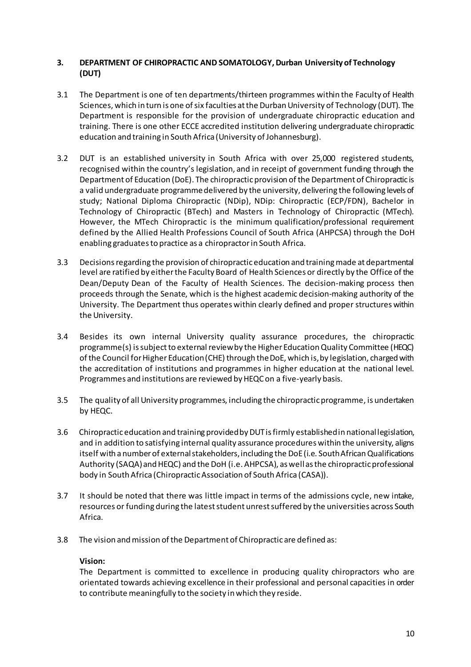# **3. DEPARTMENT OF CHIROPRACTIC AND SOMATOLOGY,Durban Universityof Technology (DUT)**

- 3.1 The Department is one of ten departments/thirteen programmes within the Faculty of Health Sciences, which in turn is one of six faculties at the Durban University of Technology (DUT). The Department is responsible for the provision of undergraduate chiropractic education and training. There is one other ECCE accredited institution delivering undergraduate chiropractic education and training in South Africa (University of Johannesburg).
- 3.2 DUT is an established university in South Africa with over 25,000 registered students, recognised within the country's legislation, and in receipt of government funding through the Department of Education (DoE). The chiropractic provision of the Department of Chiropractic is a valid undergraduate programmedelivered by the university, delivering the following levels of study; National Diploma Chiropractic (NDip), NDip: Chiropractic (ECP/FDN), Bachelor in Technology of Chiropractic (BTech) and Masters in Technology of Chiropractic (MTech). However, the MTech Chiropractic is the minimum qualification/professional requirement defined by the Allied Health Professions Council of South Africa (AHPCSA) through the DoH enabling graduatesto practice as a chiropractorin South Africa.
- 3.3 Decisionsregarding the provision of chiropracticeducation and trainingmade atdepartmental level are ratified by eitherthe Faculty Board of Health Sciences or directly by the Office ofthe Dean/Deputy Dean of the Faculty of Health Sciences. The decision-making process then proceeds through the Senate, which is the highest academic decision-making authority of the University. The Department thus operates within clearly defined and properstructures within the University.
- 3.4 Besides its own internal University quality assurance procedures, the chiropractic programme(s) issubjectto external reviewby the Higher EducationQuality Committee (HEQC) of the Council for Higher Education (CHE) through the DoE, which is, by legislation, charged with the accreditation of institutions and programmes in higher education at the national level. Programmes and institutions are reviewed by HEQC on a five-yearly basis.
- 3.5 The quality of all University programmes, including the chiropracticprogramme, is undertaken by HEQC.
- 3.6 Chiropracticeducation and training providedbyDUTisfirmly establishedin nationallegislation, and in addition to satisfying internal quality assurance procedures within the university, aligns itself with anumber of external stakeholders, including the DoE (i.e. South African Qualifications Authority (SAQA) and HEQC) and the DoH (i.e. AHPCSA), as well as the chiropractic professional body in South Africa (ChiropracticAssociation of South Africa (CASA)).
- 3.7 It should be noted that there was little impact in terms of the admissions cycle, new intake, resources or funding during the lateststudent unrestsuffered by the universities across South Africa.
- 3.8 The vision andmission ofthe Department of Chiropractic are defined as:

# **Vision:**

The Department is committed to excellence in producing quality chiropractors who are orientated towards achieving excellence in their professional and personal capacities in order to contribute meaningfully to the society in which they reside.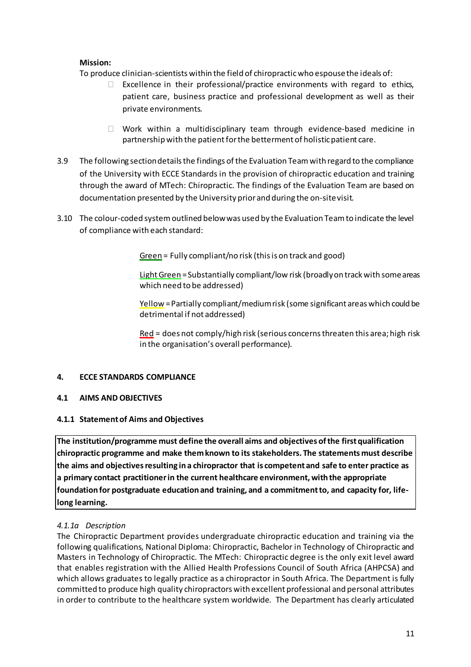# **Mission:**

To produce clinician-scientists within the field of chiropracticwho espousethe ideals of:

- $\Box$  Excellence in their professional/practice environments with regard to ethics, patient care, business practice and professional development as well as their private environments.
- $\Box$  Work within a multidisciplinary team through evidence-based medicine in partnership with the patientforthe betterment of holisticpatient care.
- 3.9 The following sectiondetailsthe findings ofthe Evaluation Teamwith regard to the compliance of the University with ECCE Standards in the provision of chiropractic education and training through the award of MTech: Chiropractic. The findings of the Evaluation Team are based on documentation presented by the University prior and during the on-sitevisit.
- 3.10 The colour-coded systemoutlined belowwas used by the Evaluation Teamto indicate the level of compliance with each standard:

Green = Fully compliant/no risk (this is on track and good)

Light Green = Substantially compliant/low risk (broadly on track with some areas which need to be addressed)

Yellow =Partially compliant/mediumrisk (some significant areas which could be detrimental if not addressed)

 $Red =$  does not comply/high risk (serious concerns threaten this area; high risk in the organisation's overall performance).

# **4. ECCE STANDARDS COMPLIANCE**

# **4.1 AIMS AND OBJECTIVES**

# **4.1.1 Statementof Aims and Objectives**

**The institution/programme must define the overall aims and objectives ofthe firstqualification chiropractic programme and make themknown to its stakeholders. The statements must describe the aims and objectivesresulting ina chiropractor that is competent and safe to enter practice as a primary contact practitionerin the current healthcare environment, withthe appropriate foundation for postgraduate education and training, and a commitmentto, and capacity for, lifelong learning.**

# *4.1.1a Description*

The Chiropractic Department provides undergraduate chiropractic education and training via the following qualifications, National Diploma: Chiropractic, Bachelor in Technology of Chiropractic and Masters in Technology of Chiropractic. The MTech: Chiropractic degree is the only exit level award that enables registration with the Allied Health Professions Council of South Africa (AHPCSA) and which allows graduates to legally practice as a chiropractor in South Africa. The Department is fully committed to produce high quality chiropractors with excellent professional and personal attributes in order to contribute to the healthcare system worldwide. The Department has clearly articulated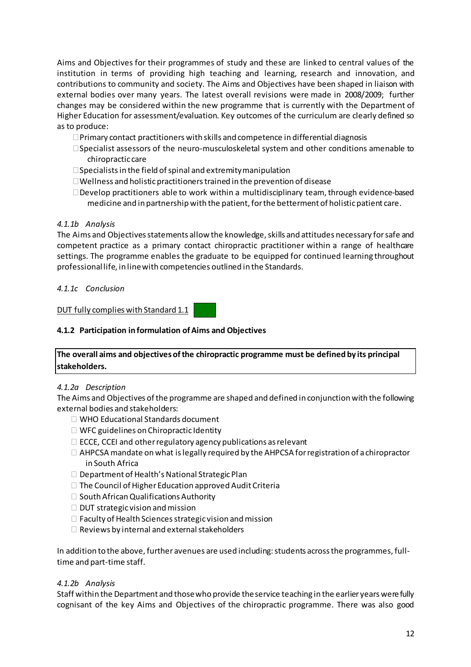Aims and Objectives for their programmes of study and these are linked to central values of the institution in terms of providing high teaching and learning, research and innovation, and contributions to community and society. The Aims and Objectives have been shaped in liaison with external bodies over many years. The latest overall revisions were made in 2008/2009; further changes may be considered within the new programme that is currently with the Department of Higher Education for assessment/evaluation. Key outcomes of the curriculum are clearly defined so as to produce:

- $\Box$  Primary contact practitioners with skills and competence in differential diagnosis
- Specialist assessors of the neuro-musculoskeletal system and other conditions amenable to chiropractic care
- $\square$  Specialists in the field of spinal and extremity manipulation
- $\Box$  Wellness and holistic practitioners trained in the prevention of disease
- $\Box$  Develop practitioners able to work within a multidisciplinary team, through evidence-based medicine and in partnership with the patient, forthe betterment of holisticpatient care.

# *4.1.1b Analysis*

The Aims and Objectives statements allow the knowledge, skills and attitudes necessary for safe and competent practice as a primary contact chiropractic practitioner within a range of healthcare settings. The programme enables the graduate to be equipped for continued learning throughout professional life, in linewith competencies outlined in the Standards.

### *4.1.1c Conclusion*

DUT fully complies with Standard 1.1

# **4.1.2 Participation informulation ofAims and Objectives**

# **The overall aims and objectives ofthe chiropractic programme must be defined by its principal stakeholders.**

#### *4.1.2a Description*

The Aims and Objectives of the programme are shaped and defined in conjunction with the following external bodies and stakeholders:

- □ WHO Educational Standards document
- $\Box$  WFC guidelines on Chiropractic Identity
- $\Box$  ECCE, CCEI and other regulatory agency publications as relevant
- $\Box$  AHPCSA mandate on what is legally required by the AHPCSA for registration of a chiropractor in South Africa
- $\square$  Department of Health's National Strategic Plan
- $\Box$  The Council of Higher Education approved Audit Criteria
- $\square$  South African Qualifications Authority
- $\Box$  DUT strategic vision and mission
- $\Box$  Faculty of Health Sciences strategic vision and mission
- $\Box$  Reviews by internal and external stakeholders

In addition to the above, further avenues are used including: students across the programmes, fulltime and part-time staff.

#### *4.1.2b Analysis*

Staff within the Department and thosewho provide theservice teaching in the earlier years werefully cognisant of the key Aims and Objectives of the chiropractic programme. There was also good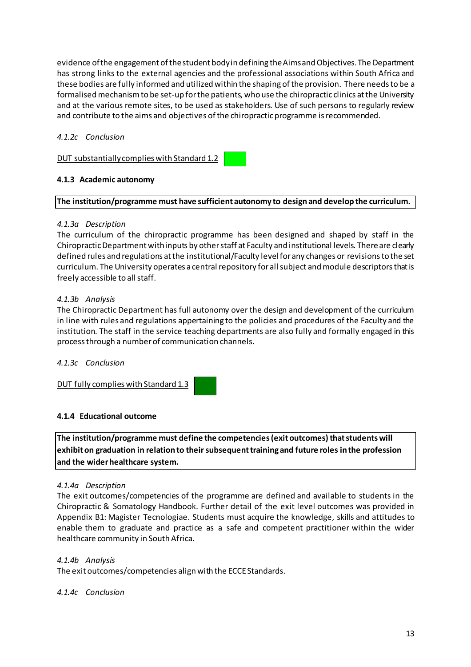evidence of the engagement of the student body in defining the Aims and Objectives. The Department has strong links to the external agencies and the professional associations within South Africa and these bodies are fully informed and utilized within the shaping ofthe provision. There needsto be a formalised mechanism to be set-up for the patients, who use the chiropractic clinics at the University and at the various remote sites, to be used as stakeholders. Use of such persons to regularly review and contribute to the aims and objectives of the chiropractic programme is recommended.

# *4.1.2c Conclusion*

DUT substantiallycomplies with Standard 1.2

# **4.1.3 Academic autonomy**

# **The institution/programme must have sufficient autonomy to design and develop the curriculum.**

# *4.1.3a Description*

The curriculum of the chiropractic programme has been designed and shaped by staff in the Chiropractic Department with inputs by other staff at Faculty and institutional levels. There are clearly defined rules and regulations atthe institutional/Faculty level for any changes or revisionsto the set curriculum. The University operates a central repository for all subject and module descriptors that is freely accessible to all staff.

### *4.1.3b Analysis*

The Chiropractic Department has full autonomy over the design and development of the curriculum in line with rules and regulations appertaining to the policies and procedures of the Faculty and the institution. The staff in the service teaching departments are also fully and formally engaged in this processthrough a numberof communication channels.

# *4.1.3c Conclusion*

DUT fully complies with Standard 1.3

# **4.1.4 Educational outcome**

**The institution/programme must define the competencies(exitoutcomes)thatstudentswill exhibiton graduation in relation to theirsubsequenttraining and future roles inthe profession and the widerhealthcare system.**

#### *4.1.4a Description*

The exit outcomes/competencies of the programme are defined and available to students in the Chiropractic & Somatology Handbook. Further detail of the exit level outcomes was provided in Appendix B1: Magister Tecnologiae. Students must acquire the knowledge, skills and attitudes to enable them to graduate and practice as a safe and competent practitioner within the wider healthcare community in South Africa.

# *4.1.4b Analysis*

The exit outcomes/competencies align with the ECCEStandards.

#### *4.1.4c Conclusion*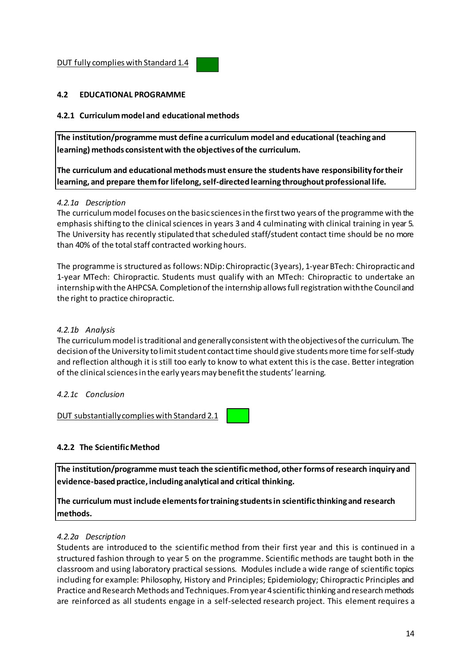### **4.2 EDUCATIONAL PROGRAMME**

### **4.2.1 Curriculummodel and educational methods**

**The institution/programme must define acurriculum model and educational (teaching and learning) methods consistentwith the objectives ofthe curriculum.**

**The curriculum and educational methods must ensure the students have responsibility fortheir learning, and prepare themfor lifelong,self-directed learning throughoutprofessional life.**

#### *4.2.1a Description*

The curriculummodel focuses on the basic sciencesin the firsttwo years of the programme with the emphasis shifting to the clinical sciences in years 3 and 4 culminating with clinical training in year 5. The University has recently stipulated that scheduled staff/student contact time should be no more than 40% of the total staff contracted working hours.

The programme is structured as follows:NDip: Chiropractic (3years), 1-yearBTech: Chiropractic and 1-year MTech: Chiropractic. Students must qualify with an MTech: Chiropractic to undertake an internship with the AHPCSA. Completionofthe internship allowsfull registration withthe Counciland the right to practice chiropractic.

### *4.2.1b Analysis*

The curriculummodel istraditional and generallyconsistentwith theobjectivesofthe curriculum. The decision of the University to limit student contact time should give students more time for self-study and reflection although it is still too early to know to what extent this is the case. Better integration of the clinical sciences in the early years may benefit the students' learning.

### *4.2.1c Conclusion*

DUT substantiallycomplies with Standard 2.1

# **4.2.2 The ScientificMethod**

**The institution/programme must teach the scientificmethod, other forms of research inquiry and evidence-basedpractice, including analytical and critical thinking.**

**The curriculum must include elementsfortraining studentsin scientific thinking and research methods.**

#### *4.2.2a Description*

Students are introduced to the scientific method from their first year and this is continued in a structured fashion through to year 5 on the programme. Scientific methods are taught both in the classroom and using laboratory practical sessions. Modules include a wide range of scientific topics including for example: Philosophy, History and Principles; Epidemiology; Chiropractic Principles and Practice and Research Methods and Techniques.Fromyear4scientific thinking and researchmethods are reinforced as all students engage in a self-selected research project. This element requires a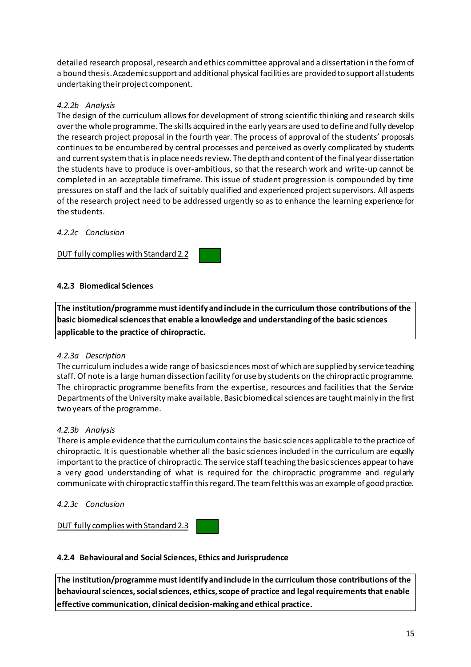detailed research proposal, research and ethics committee approvaland a dissertation in the form of a bound thesis. Academic support and additional physical facilities are provided to support all students undertaking their project component.

# *4.2.2b Analysis*

The design of the curriculum allows for development of strong scientific thinking and research skills overthe whole programme. The skills acquired in the early years are used to defineand fully develop the research project proposal in the fourth year. The process of approval of the students' proposals continues to be encumbered by central processes and perceived as overly complicated by students and current system that is in place needs review. The depth and content of the final year dissertation the students have to produce is over-ambitious, so that the research work and write-up cannot be completed in an acceptable timeframe. This issue of student progression is compounded by time pressures on staff and the lack of suitably qualified and experienced project supervisors. All aspects of the research project need to be addressed urgently so as to enhance the learning experience for the students.

# *4.2.2c Conclusion*

DUT fully complies with Standard 2.2

# **4.2.3 Biomedical Sciences**

**The institution/programme must identify andinclude in the curriculum those contributions of the basic biomedicalsciencesthat enable a knowledge and understanding ofthe basic sciences applicable to the practice of chiropractic.**

# *4.2.3a Description*

The curriculum includes a wide range of basic sciences most of which are supplied by service teaching staff.Of note is a large human dissection facility foruse by students on the chiropractic programme. The chiropractic programme benefits from the expertise, resources and facilities that the Service Departments of the University make available. Basic biomedical sciences are taught mainly in the first two years of the programme.

# *4.2.3b Analysis*

There is ample evidence that the curriculum contains the basic sciences applicable to the practice of chiropractic. It is questionable whether all the basic sciences included in the curriculum are equally important to the practice of chiropractic. The service staff teaching the basic sciences appear to have a very good understanding of what is required for the chiropractic programme and regularly communicate with chiropractic staffin thisregard.The teamfeltthis was an example of goodpractice.

# *4.2.3c Conclusion*

DUT fully complies with Standard 2.3

# **4.2.4 Behavioural and Social Sciences, Ethics and Jurisprudence**

**The institution/programme must identify andinclude in the curriculum those contributions of the behaviouralsciences,socialsciences, ethics,scope of practice and legalrequirementsthat enable effective communication, clinical decision-making andethical practice.**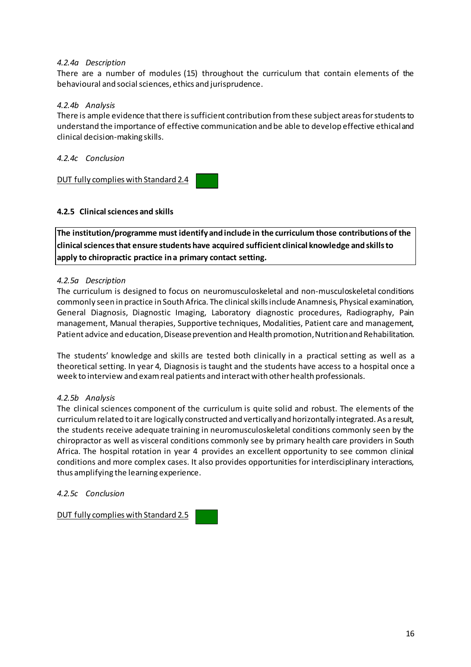### *4.2.4a Description*

There are a number of modules (15) throughout the curriculum that contain elements of the behavioural and social sciences, ethics and jurisprudence.

### *4.2.4b Analysis*

There is ample evidence that there is sufficient contribution from these subject areas for students to understand the importance of effective communication and be able to develop effective ethicaland clinical decision-making skills.

*4.2.4c Conclusion*

DUT fully complies with Standard 2.4

### **4.2.5 Clinicalsciences and skills**

**The institution/programme must identify andinclude in the curriculum those contributions of the clinicalsciencesthat ensure students have acquired sufficient clinical knowledge andskillsto apply to chiropractic practice ina primary contact setting.**

### *4.2.5a Description*

The curriculum is designed to focus on neuromusculoskeletal and non-musculoskeletal conditions commonly seen in practice in South Africa. The clinical skills include Anamnesis, Physical examination, General Diagnosis, Diagnostic Imaging, Laboratory diagnostic procedures, Radiography, Pain management, Manual therapies, Supportive techniques, Modalities, Patient care and management, Patient advice and education, Disease prevention and Health promotion, Nutrition and Rehabilitation.

The students' knowledge and skills are tested both clinically in a practical setting as well as a theoretical setting. In year 4, Diagnosis is taught and the students have access to a hospital once a week to interview and examreal patients and interactwith otherhealth professionals.

#### *4.2.5b Analysis*

The clinical sciences component of the curriculum is quite solid and robust. The elements of the curriculumrelated to it are logically constructed and verticallyand horizontally integrated. As a result, the students receive adequate training in neuromusculoskeletal conditions commonly seen by the chiropractor as well as visceral conditions commonly see by primary health care providers in South Africa. The hospital rotation in year 4 provides an excellent opportunity to see common clinical conditions and more complex cases. It also provides opportunities for interdisciplinary interactions, thus amplifying the learning experience.

#### *4.2.5c Conclusion*

DUT fully complies with Standard 2.5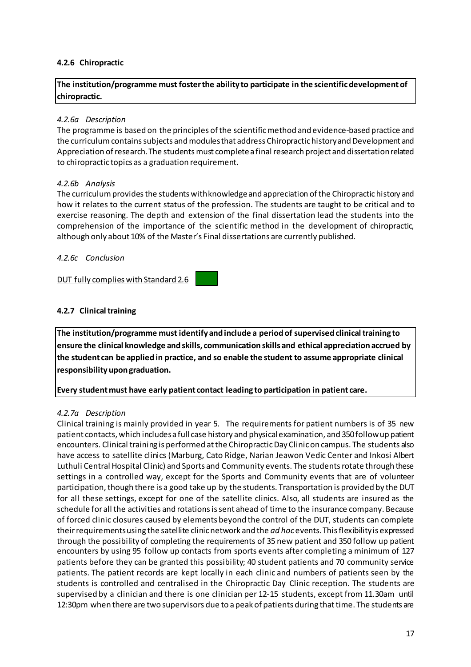### **4.2.6 Chiropractic**

**The institution/programme must fosterthe ability to participate in the scientificdevelopmentof chiropractic.**

#### *4.2.6a Description*

The programme is based on the principles of the scientific method and evidence-based practice and the curriculum contains subjects and modules that address Chiropractic history and Development and Appreciation of research. The students must complete a final research project and dissertation related to chiropractic topics as a graduation requirement.

#### *4.2.6b Analysis*

The curriculum provides the students with knowledge and appreciation of the Chiropractic history and how it relates to the current status of the profession. The students are taught to be critical and to exercise reasoning. The depth and extension of the final dissertation lead the students into the comprehension of the importance of the scientific method in the development of chiropractic, although only about 10% of the Master's Final dissertations are currently published.

#### *4.2.6c Conclusion*

DUT fully complies with Standard 2.6

# **4.2.7 Clinicaltraining**

**The institution/programme must identify andinclude a period of supervised clinicaltraining to ensure the clinical knowledge andskills, communication skills and ethical appreciation accrued by the student can be applied in practice, and so enable the student to assume appropriate clinical responsibility upongraduation.**

**Every studentmust have early patient contact leading to participation in patient care.**

#### *4.2.7a Description*

Clinical training is mainly provided in year 5. The requirements for patient numbers is of 35 new patient contacts, which includesa full case history and physicalexamination, and 350followup patient encounters. Clinical training is performed atthe ChiropracticDay Clinicon campus. The students also have access to satellite clinics (Marburg, Cato Ridge, Narian Jeawon Vedic Center and Inkosi Albert Luthuli Central Hospital Clinic) and Sports and Community events. The studentsrotate through these settings in a controlled way, except for the Sports and Community events that are of volunteer participation, though there is a good take up by the students. Transportation is provided by the DUT for all these settings, except for one of the satellite clinics. Also, all students are insured as the schedule for all the activities and rotations is sent ahead of time to the insurance company. Because of forced clinic closures caused by elements beyond the control of the DUT, students can complete theirrequirementsusing the satellite clinicnetwork and the *ad hoc*events.Thisflexibilityis expressed through the possibility of completing the requirements of 35 new patient and 350 follow up patient encounters by using 95 follow up contacts from sports events after completing a minimum of 127 patients before they can be granted this possibility; 40 student patients and 70 community service patients. The patient records are kept locally in each clinic and numbers of patients seen by the students is controlled and centralised in the Chiropractic Day Clinic reception. The students are supervised by a clinician and there is one clinician per 12-15 students, except from 11.30am until 12:30pm when there are two supervisors due to a peak of patients during that time. The students are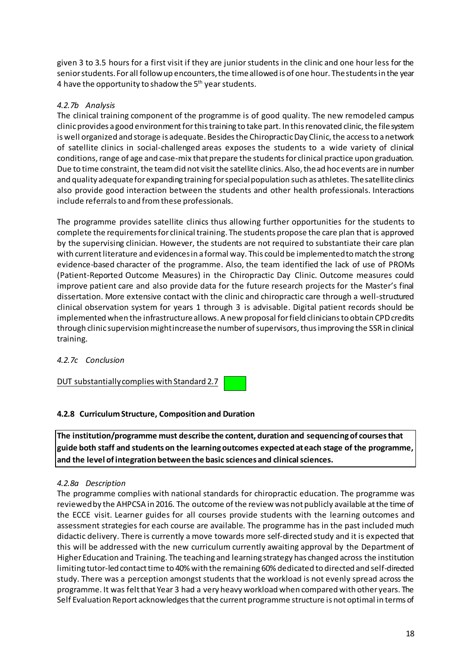given 3 to 3.5 hours for a first visit if they are junior students in the clinic and one hour less for the senior students. For all follow up encounters, the time allowed is of one hour. The students in the year 4 have the opportunity to shadow the 5<sup>th</sup> year students.

# *4.2.7b Analysis*

The clinical training component of the programme is of good quality. The new remodeled campus clinic provides a good environment for this training to take part. In this renovated clinic, the file system is well organized and storage is adequate. Besides the Chiropractic Day Clinic, the access to a network of satellite clinics in social-challenged areas exposes the students to a wide variety of clinical conditions, range of age and case-mix that prepare the students for clinical practice upon graduation. Due to time constraint, the team did not visit the satellite clinics. Also, the ad hoc events are in number and quality adequate for expanding training for special population such as athletes. The satellite clinics also provide good interaction between the students and other health professionals. Interactions include referrals to and from these professionals.

The programme provides satellite clinics thus allowing further opportunities for the students to complete the requirementsfor clinical training. The students propose the care plan that is approved by the supervising clinician. However, the students are not required to substantiate their care plan with currentliterature and evidencesin a formal way. This could be implementedtomatch the strong evidence-based character of the programme. Also, the team identified the lack of use of PROMs (Patient-Reported Outcome Measures) in the Chiropractic Day Clinic. Outcome measures could improve patient care and also provide data for the future research projects for the Master's final dissertation. More extensive contact with the clinic and chiropractic care through a well-structured clinical observation system for years 1 through 3 is advisable. Digital patient records should be implemented when the infrastructure allows. A new proposal for field clinicians to obtain CPD credits through clinic supervision might increase the number of supervisors, thus improving the SSR in clinical training.

# *4.2.7c Conclusion*

DUT substantiallycomplies with Standard 2.7

# **4.2.8 CurriculumStructure, Composition and Duration**

**The institution/programme must describe the content, duration and sequencing of coursesthat guide both staff and students on the learningoutcomes expected ateach stage of the programme, and the level ofintegration between the basic sciences and clinicalsciences.**

# *4.2.8a Description*

The programme complies with national standards for chiropractic education. The programme was reviewed by the AHPCSA in 2016. The outcome of the review was not publicly available at the time of the ECCE visit. Learner guides for all courses provide students with the learning outcomes and assessment strategies for each course are available. The programme has in the past included much didactic delivery. There is currently a move towards more self-directed study and it is expected that this will be addressed with the new curriculum currently awaiting approval by the Department of Higher Education and Training. The teaching and learning strategy has changed across the institution limiting tutor-led contact time to 40% with the remaining 60% dedicated to directed and self-directed study. There was a perception amongst students that the workload is not evenly spread across the programme. It was feltthat Year 3 had a very heavy workload when compared with other years. The Self Evaluation Report acknowledges that the current programme structure is not optimal in terms of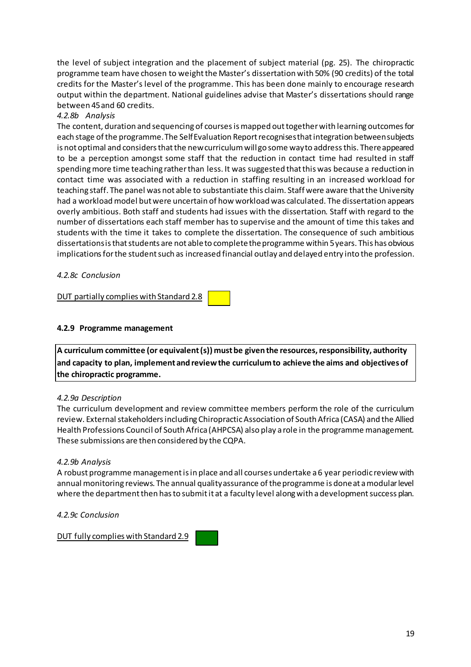the level of subject integration and the placement of subject material (pg. 25). The chiropractic programme team have chosen to weightthe Master's dissertation with 50% (90 credits) of the total credits for the Master's level of the programme. This has been done mainly to encourage research output within the department. National guidelines advise that Master's dissertations should range between 45and 60 credits.

# *4.2.8b Analysis*

The content, duration and sequencing of coursesismapped outtogetherwith learning outcomesfor each stage of the programme. The Self Evaluation Report recognises that integration between subjects is not optimal and considers that the new curriculum will go some way to address this. There appeared to be a perception amongst some staff that the reduction in contact time had resulted in staff spending more time teaching rather than less. It was suggested that this was because a reduction in contact time was associated with a reduction in staffing resulting in an increased workload for teaching staff. The panel was not able to substantiate this claim. Staff were aware thatthe University had a workload model but were uncertain of how workload was calculated. The dissertation appears overly ambitious. Both staff and students had issues with the dissertation. Staff with regard to the number of dissertations each staff member has to supervise and the amount of time this takes and students with the time it takes to complete the dissertation. The consequence of such ambitious dissertationsisthatstudents are not ableto completetheprogramme within 5years. This has obvious implications for the student such as increased financial outlay and delayed entry into the profession.

# *4.2.8c Conclusion*

DUT partially complies with Standard 2.8

### **4.2.9 Programme management**

**A curriculum committee (or equivalent(s)) mustbe giventhe resources,responsibility, authority and capacity to plan, implement andreviewthe curriculumto achieve the aims and objectives of the chiropractic programme.**

#### *4.2.9a Description*

The curriculum development and review committee members perform the role of the curriculum review. External stakeholders including Chiropractic Association of South Africa (CASA) and the Allied Health Professions Council of South Africa (AHPCSA) also play a role in the programme management. These submissions are then considered by the CQPA.

#### *4.2.9b Analysis*

A robust programme managementisin place and all courses undertake a6 year periodic review with annual monitoring reviews. The annual quality assurance of the programme is done at a modular level where the department then has to submit it at a faculty level along with a development success plan.

*4.2.9c Conclusion*

DUT fully complies with Standard 2.9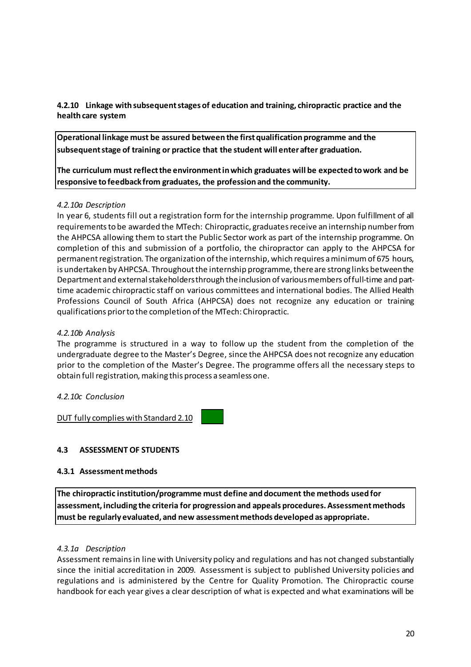**4.2.10 Linkage withsubsequentstages of education and training, chiropractic practice and the health care system** 

**Operational linkage must be assured between the firstqualification programme and the subsequentstage of training or practice that the student will enterafter graduation.**

**The curriculum must reflectthe environmentinwhich graduates will be expected towork and be responsive tofeedback from graduates, the profession and the community.**

### *4.2.10a Description*

In year 6, students fill out a registration form for the internship programme. Upon fulfillment of all requirementsto be awarded the MTech: Chiropractic, graduatesreceive an internship numberfrom the AHPCSA allowing them to start the Public Sector work as part of the internship programme. On completion of this and submission of a portfolio, the chiropractor can apply to the AHPCSA for permanent registration. The organization of the internship, which requires a minimum of 675 hours, is undertaken by AHPCSA. Throughout the internship programme, there are strong links between the Department and externalstakeholdersthrough theinclusion of variousmembers offull-time and parttime academic chiropractic staff on various committees and international bodies. The Allied Health Professions Council of South Africa (AHPCSA) does not recognize any education or training qualifications priorto the completion ofthe MTech: Chiropractic.

### *4.2.10b Analysis*

The programme is structured in a way to follow up the student from the completion of the undergraduate degree to the Master's Degree, since the AHPCSA does not recognize any education prior to the completion of the Master's Degree. The programme offers all the necessary steps to obtain full registration, making this process a seamless one.

#### *4.2.10c Conclusion*

DUT fully complies with Standard 2.10

# **4.3 ASSESSMENT OF STUDENTS**

### **4.3.1 Assessmentmethods**

**The chiropractic institution/programme must define anddocument the methods used for assessment, including the criteria for progression and appeals procedures.Assessmentmethods must be regularly evaluated, and new assessmentmethods developed as appropriate.**

#### *4.3.1a Description*

Assessment remainsin line with University policy and regulations and has not changed substantially since the initial accreditation in 2009. Assessment is subject to published University policies and regulations and is administered by the Centre for Quality Promotion. The Chiropractic course handbook for each year gives a clear description of what is expected and what examinations will be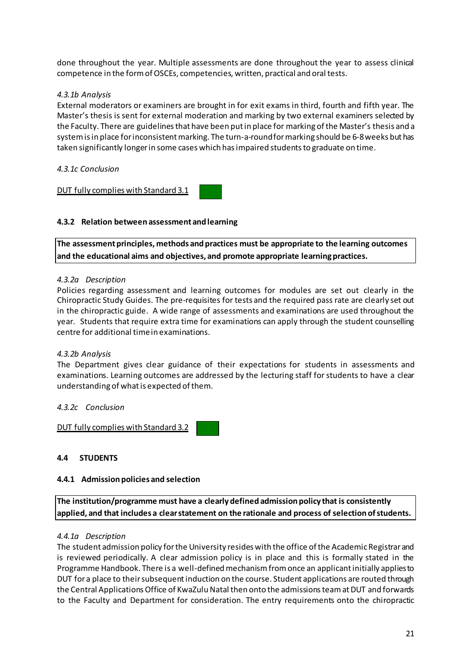done throughout the year. Multiple assessments are done throughout the year to assess clinical competence in the form of OSCEs, competencies, written, practical and oral tests.

# *4.3.1b Analysis*

External moderators or examiners are brought in for exit exams in third, fourth and fifth year. The Master's thesis is sent for external moderation and marking by two external examiners selected by the Faculty. There are guidelines that have been put in place for marking of the Master's thesis and a system is in place for inconsistent marking. The turn-a-round for marking should be 6-8 weeks but has taken significantly longerin some cases which hasimpaired studentsto graduate on time.

# *4.3.1c Conclusion*

DUT fully complies with Standard 3.1

# **4.3.2 Relation between assessment andlearning**

**The assessmentprinciples, methods andpractices must be appropriate to the learning outcomes and the educational aims and objectives, and promote appropriate learningpractices.**

### *4.3.2a Description*

Policies regarding assessment and learning outcomes for modules are set out clearly in the Chiropractic Study Guides. The pre-requisites for tests and the required pass rate are clearly set out in the chiropractic guide. A wide range of assessments and examinations are used throughout the year. Students that require extra time for examinations can apply through the student counselling centre for additional timein examinations.

# *4.3.2b Analysis*

The Department gives clear guidance of their expectations for students in assessments and examinations. Learning outcomes are addressed by the lecturing staff for students to have a clear understanding of what is expected of them.

# *4.3.2c Conclusion*

DUT fully complies with Standard 3.2

# **4.4 STUDENTS**

#### **4.4.1 Admission policies and selection**

**The institution/programme must have a clearlydefined admission policy that is consistently applied, and that includes a clearstatement on the rationale and process of selection ofstudents.**

#### *4.4.1a Description*

The student admission policy for the University resides with the office of the Academic Registrar and is reviewed periodically. A clear admission policy is in place and this is formally stated in the Programme Handbook. There is a well-defined mechanism from once an applicant initially applies to DUT for a place to theirsubsequentinduction on the course. Student applications are routed through the Central Applications Office of KwaZulu Natal then onto the admissions team at DUT and forwards to the Faculty and Department for consideration. The entry requirements onto the chiropractic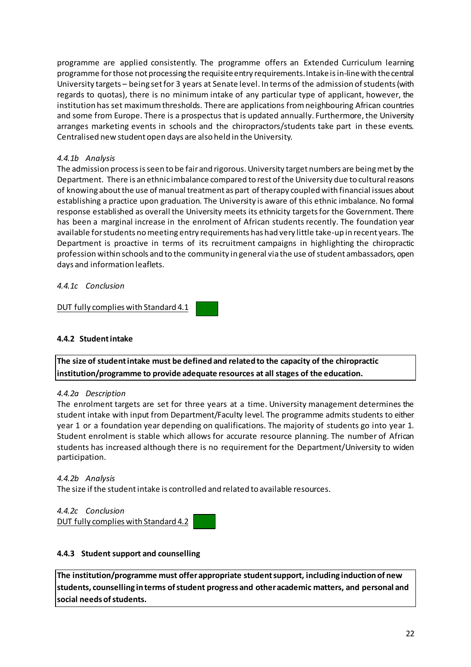programme are applied consistently. The programme offers an Extended Curriculum learning programme forthose not processing the requisiteentry requirements.Intakeisin-linewith thecentral University targets – being set for 3 years at Senate level. In terms of the admission of students (with regards to quotas), there is no minimum intake of any particular type of applicant, however, the institution has set maximum thresholds. There are applications from neighbouring African countries and some from Europe. There is a prospectus that is updated annually. Furthermore, the University arranges marketing events in schools and the chiropractors/students take part in these events. Centralised new student open days are also held in the University.

# *4.4.1b Analysis*

The admission process is seen to be fair and rigorous. University target numbers are being met by the Department. There is an ethnic imbalance compared to rest ofthe University due to cultural reasons of knowing aboutthe use of manual treatment as part oftherapy coupled with financial issues about establishing a practice upon graduation. The University is aware of this ethnic imbalance. No formal response established as overall the University meets its ethnicity targetsfor the Government. There has been a marginal increase in the enrolment of African students recently. The foundation year available forstudents nomeeting entry requirements has had very little take-up in recent years. The Department is proactive in terms of its recruitment campaigns in highlighting the chiropractic profession within schools and to the community in general via the use of student ambassadors, open days and information leaflets.

*4.4.1c Conclusion*

DUT fully complies with Standard 4.1

# **4.4.2 Studentintake**

**The size of studentintake must be defined and related to the capacity of the chiropractic institution/programme to provide adequate resources at all stages of the education.**

# *4.4.2a Description*

The enrolment targets are set for three years at a time. University management determines the student intake with input from Department/Faculty level. The programme admits students to either year 1 or a foundation year depending on qualifications. The majority of students go into year 1. Student enrolment is stable which allows for accurate resource planning. The number of African students has increased although there is no requirement for the Department/University to widen participation.

# *4.4.2b Analysis*

The size if the student intake is controlled and related to available resources.

*4.4.2c Conclusion*

DUT fully complies with Standard 4.2

# **4.4.3 Student support and counselling**

**The institution/programme must offerappropriate studentsupport, including induction of new students, counselling interms ofstudent progress and otheracademic matters, and personal and social needs ofstudents.**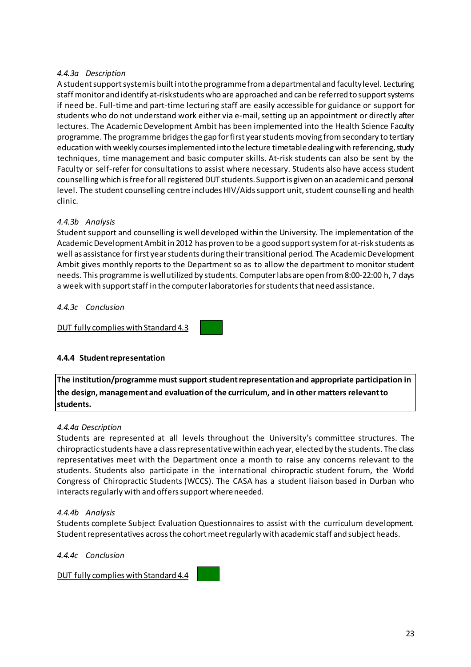# *4.4.3a Description*

A student support system is built into the programme from a departmental and facultylevel. Lecturing staff monitor and identify at-riskstudents who are approached and can be referred to supportsystems if need be. Full-time and part-time lecturing staff are easily accessible for guidance or support for students who do not understand work either via e-mail, setting up an appointment or directly after lectures. The Academic Development Ambit has been implemented into the Health Science Faculty programme. The programme bridgesthe gap forfirst yearstudentsmoving fromsecondary to tertiary education with weekly courses implemented into the lecture timetable dealing with referencing, study techniques, time management and basic computer skills. At-risk students can also be sent by the Faculty or self-refer for consultations to assist where necessary. Students also have access student counselling which is free for all registered DUT students. Support is given on an academic and personal level. The student counselling centre includes HIV/Aids support unit, student counselling and health clinic.

# *4.4.3b Analysis*

Student support and counselling is well developed within the University. The implementation of the Academic Development Ambit in 2012 has proven to be a good support system for at-risk students as well as assistance for first year students during their transitional period. The Academic Development Ambit gives monthly reports to the Department so as to allow the department to monitor student needs. This programme is wellutilized by students. Computerlabsare open from8:00-22:00 h, 7 days a week with support staff in the computer laboratories for students that need assistance.

*4.4.3c Conclusion*

DUT fully complies with Standard 4.3

# **4.4.4 Studentrepresentation**

**The institution/programme mustsupportstudentrepresentation and appropriate participation in the design, management and evaluation of the curriculum, and in other matters relevantto students.**

# *4.4.4a Description*

Students are represented at all levels throughout the University's committee structures. The chiropractic students have a classrepresentativewithin each year, elected by the students. The class representatives meet with the Department once a month to raise any concerns relevant to the students. Students also participate in the international chiropractic student forum, the World Congress of Chiropractic Students (WCCS). The CASA has a student liaison based in Durban who interacts regularly with and offers support where needed.

#### *4.4.4b Analysis*

Students complete Subject Evaluation Questionnaires to assist with the curriculum development. Student representatives across the cohort meet regularly with academic staff and subject heads.

*4.4.4c Conclusion*

DUT fully complies with Standard 4.4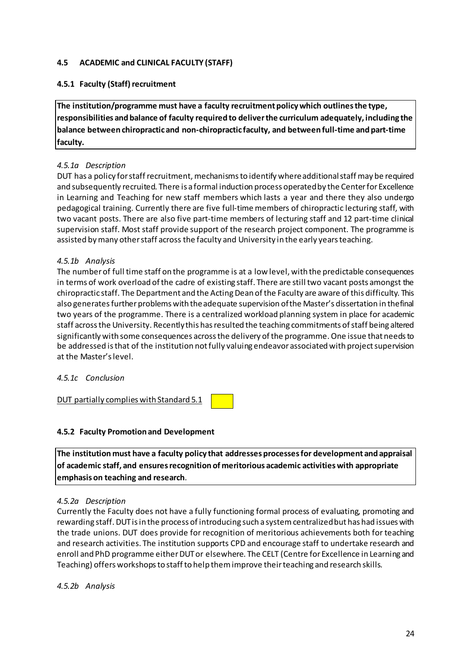# **4.5 ACADEMIC and CLINICAL FACULTY (STAFF)**

# **4.5.1 Faculty (Staff) recruitment**

**The institution/programme must have a faculty recruitmentpolicywhich outlinesthe type, responsibilities andbalance of faculty required to deliverthe curriculum adequately, including the balance between chiropractic and non-chiropractic faculty, and between full-time andpart-time faculty.**

# *4.5.1a Description*

DUT has a policy forstaffrecruitment, mechanismsto identify whereadditionalstaff may be required and subsequently recruited. There is a formal induction process operatedby the Centerfor Excellence in Learning and Teaching for new staff members which lasts a year and there they also undergo pedagogical training. Currently there are five full-time members of chiropractic lecturing staff, with two vacant posts. There are also five part-time members of lecturing staff and 12 part-time clinical supervision staff. Most staff provide support of the research project component. The programme is assisted bymany otherstaff across the faculty and University in the early yearsteaching.

# *4.5.1b Analysis*

The numberof full time staff on the programme is at a low level, with the predictable consequences in terms of work overload ofthe cadre of existing staff. There are still two vacant posts amongst the chiropractic staff. The Department and the Acting Dean of the Faculty are aware of this difficulty. This also generates further problems with the adequate supervision of the Master's dissertation in thefinal two years of the programme. There is a centralized workload planning system in place for academic staff across the University. Recently this has resulted the teaching commitments of staff being altered significantly with some consequences across the delivery of the programme. One issue that needs to be addressed is that of the institution not fully valuing endeavor associated with project supervision at the Master'slevel.

# *4.5.1c Conclusion*

DUT partially complies with Standard 5.1

# **4.5.2 Faculty Promotion and Development**

**The institution must have a faculty policy that addresses processesfor development andappraisal of academic staff, and ensuresrecognition of meritorious academic activitieswith appropriate emphasis on teaching and research**.

#### *4.5.2a Description*

Currently the Faculty does not have a fully functioning formal process of evaluating, promoting and rewarding staff. DUT is in the process of introducing such a system centralized but has had issues with the trade unions. DUT does provide for recognition of meritorious achievements both for teaching and research activities. The institution supports CPD and encourage staff to undertake research and enroll and PhD programme either DUT or elsewhere. The CELT (Centre for Excellence in Learning and Teaching) offers workshops to staff to help them improve their teaching and research skills.

# *4.5.2b Analysis*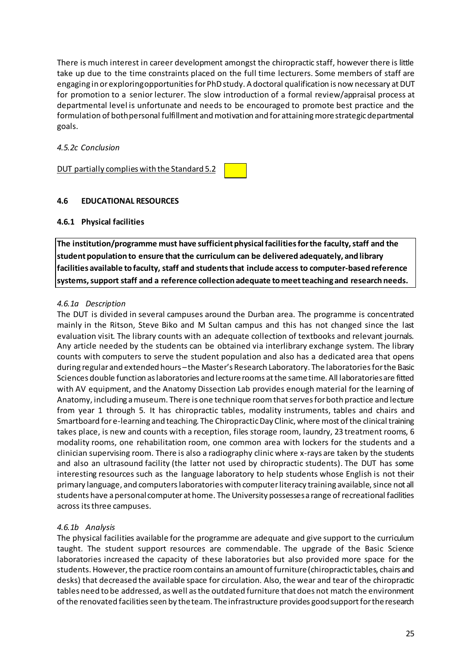There is much interest in career development amongst the chiropractic staff, however there is little take up due to the time constraints placed on the full time lecturers. Some members of staff are engaging in or exploring opportunities for PhD study. A doctoral qualification is now necessary at DUT for promotion to a senior lecturer. The slow introduction of a formal review/appraisal process at departmental level is unfortunate and needs to be encouraged to promote best practice and the formulation of both personal fulfillment and motivation and for attaining more strategic departmental goals.

# *4.5.2c Conclusion*

DUT partially complies with the Standard 5.2

### **4.6 EDUCATIONAL RESOURCES**

### **4.6.1 Physical facilities**

**The** institution/programme must have sufficient physical facilities for the faculty, staff and the **studentpopulation to ensure that the curriculum can be delivered adequately, andlibrary facilities available tofaculty, staff and studentsthat include access to computer-based reference systems,supportstaff and a reference collection adequate tomeetteaching and research needs.**

### *4.6.1a Description*

The DUT is divided in several campuses around the Durban area. The programme is concentrated mainly in the Ritson, Steve Biko and M Sultan campus and this has not changed since the last evaluation visit. The library counts with an adequate collection of textbooks and relevant journals. Any article needed by the students can be obtained via interlibrary exchange system. The library counts with computers to serve the student population and also has a dedicated area that opens during regular and extended hours – the Master's Research Laboratory. The laboratories for the Basic Sciences double function aslaboratories and lecturerooms atthe sametime. All laboratoriesare fitted with AV equipment, and the Anatomy Dissection Lab provides enough material for the learning of Anatomy, including amuseum. There is one technique roomthatservesforboth practice and lecture from year 1 through 5. It has chiropractic tables, modality instruments, tables and chairs and Smartboard fore-learning and teaching. The ChiropracticDay Clinic, where most ofthe clinical training takes place, is new and counts with a reception, files storage room, laundry, 23 treatment rooms, 6 modality rooms, one rehabilitation room, one common area with lockers for the students and a clinician supervising room. There is also a radiography clinic where x-rays are taken by the students and also an ultrasound facility (the latter not used by chiropractic students). The DUT has some interesting resources such as the language laboratory to help students whose English is not their primary language, and computers laboratories with computer literacy training available, since not all students have apersonal computer at home. The University possessesa range ofrecreational facilities across its three campuses.

#### *4.6.1b Analysis*

The physical facilities available for the programme are adequate and give support to the curriculum taught. The student support resources are commendable. The upgrade of the Basic Science laboratories increased the capacity of these laboratories but also provided more space for the students. However, the practice room contains an amount of furniture (chiropractic tables, chairs and desks) that decreased the available space for circulation. Also, the wear and tear of the chiropractic tables need to be addressed, as well asthe outdated furniture that does not match the environment of the renovated facilities seen by the team. The infrastructure provides good support for the research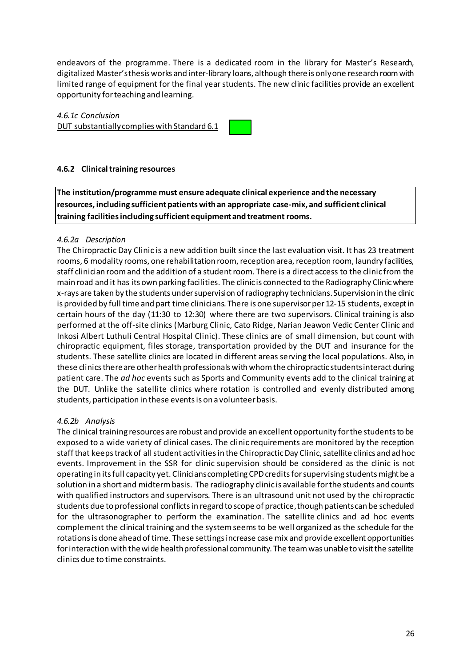endeavors of the programme. There is a dedicated room in the library for Master's Research, digitalized Master'sthesis works and inter-library loans, although thereis onlyone research roomwith limited range of equipment for the final year students. The new clinic facilities provide an excellent opportunity forteaching and learning.

# *4.6.1c Conclusion*

DUT substantiallycomplies with Standard 6.1



# **4.6.2 Clinicaltraining resources**

**The institution/programme must ensure adequate clinical experience andthe necessary resources, including sufficientpatientswithan appropriate case-mix, and sufficient clinical training facilitiesincluding sufficient equipment andtreatment rooms.**

# *4.6.2a Description*

The Chiropractic Day Clinic is a new addition built since the last evaluation visit. It has 23 treatment rooms, 6 modality rooms, one rehabilitation room, reception area, reception room, laundry facilities, staff clinician room and the addition of a student room. There is a direct access to the clinic from the main road and it has its own parking facilities. The clinic is connected to the Radiography Clinicwhere x-rays are taken by the students undersupervision ofradiography technicians.Supervisionin the clinic is provided by full time and part time clinicians. There is one supervisor per 12-15 students, except in certain hours of the day (11:30 to 12:30) where there are two supervisors. Clinical training is also performed at the off-site clinics (Marburg Clinic, Cato Ridge, Narian Jeawon Vedic Center Clinic and Inkosi Albert Luthuli Central Hospital Clinic). These clinics are of small dimension, but count with chiropractic equipment, files storage, transportation provided by the DUT and insurance for the students. These satellite clinics are located in different areas serving the local populations. Also, in these clinics there are other health professionals with whom the chiropractic students interact during patient care. The *ad hoc* events such as Sports and Community events add to the clinical training at the DUT. Unlike the satellite clinics where rotation is controlled and evenly distributed among students, participation in these eventsis on a volunteerbasis.

# *4.6.2b Analysis*

The clinical training resources are robust and provide an excellent opportunity for the students to be exposed to a wide variety of clinical cases. The clinic requirements are monitored by the reception staff that keeps track of all student activities in the Chiropractic Day Clinic, satellite clinics and ad hoc events. Improvement in the SSR for clinic supervision should be considered as the clinic is not operating in its full capacity yet. Clinicians completing CPD credits for supervising students might be a solution in a short and midtermbasis. The radiography clinic is available forthe students and counts with qualified instructors and supervisors. There is an ultrasound unit not used by the chiropractic students due to professional conflictsin regard to scope of practice,though patientscan be scheduled for the ultrasonographer to perform the examination. The satellite clinics and ad hoc events complement the clinical training and the systemseems to be well organized as the schedule for the rotations is done ahead of time. These settings increase case mix and provide excellent opportunities for interaction with the wide health professional community. The team was unable to visit the satellite clinics due to time constraints.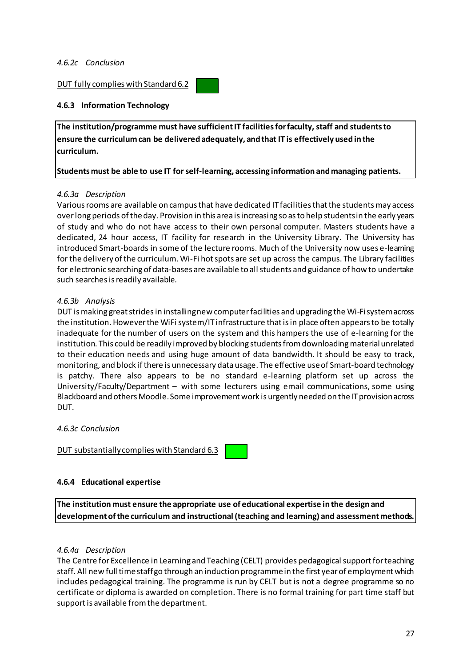#### *4.6.2c Conclusion*

#### DUT fully complies with Standard 6.2

#### **4.6.3 Information Technology**

**The institution/programme must have sufficientIT facilitiesforfaculty, staff and studentsto ensure the curriculumcan be delivered adequately, andthat IT is effectively used inthe curriculum.**

#### **Students must be able to use IT forself-learning, accessing information andmanaging patients.**

#### *4.6.3a Description*

Various rooms are available on campus that have dedicated IT facilities that the students may access overlong periods oftheday. Provision in this area isincreasing so asto help studentsin the early years of study and who do not have access to their own personal computer. Masters students have a dedicated, 24 hour access, IT facility for research in the University Library. The University has introduced Smart-boards in some of the lecture rooms. Much of the University now uses e-learning for the delivery of the curriculum. Wi-Fi hot spots are set up across the campus. The Library facilities for electronic searching of data-bases are available to all students and guidance of how to undertake such searches is readily available.

#### *4.6.3b Analysis*

DUT ismaking greatstridesin installingnew computerfacilities and upgrading the Wi-Fisystemacross the institution. Howeverthe WiFisystem/IT infrastructure thatisin place often appearsto be totally inadequate for the number of users on the system and this hampers the use of e-learning for the institution. This could be readily improved by blocking students from downloading material unrelated to their education needs and using huge amount of data bandwidth. It should be easy to track, monitoring, and block if there is unnecessary data usage. The effective use of Smart-board technology is patchy. There also appears to be no standard e-learning platform set up across the University/Faculty/Department – with some lecturers using email communications, some using Blackboard and others Moodle. Some improvement work is urgently needed on the IT provision across DUT.

*4.6.3c Conclusion*

DUT substantiallycomplies with Standard 6.3

#### **4.6.4 Educational expertise**

**The institution must ensure the appropriate use of educational expertise inthe design and developmentofthe curriculum and instructional (teaching and learning) and assessmentmethods.**

#### *4.6.4a Description*

The Centre for Excellence in Learning and Teaching (CELT) provides pedagogical support for teaching staff. All new full timestaffgo through an induction programmein the first yearof employment which includes pedagogical training. The programme is run by CELT but is not a degree programme so no certificate or diploma is awarded on completion. There is no formal training for part time staff but support is available from the department.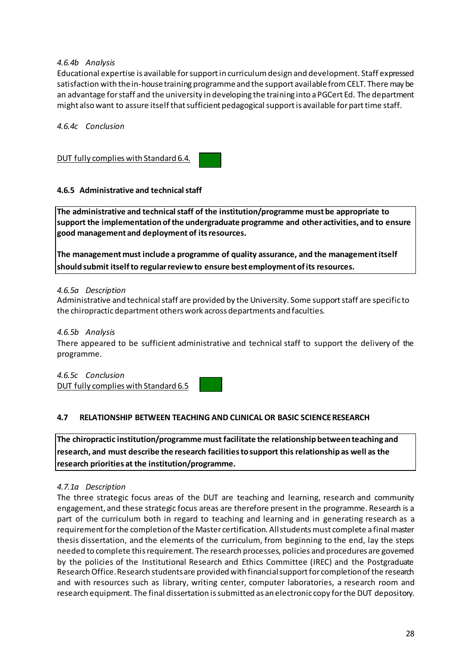# *4.6.4b Analysis*

Educational expertise is available forsupportin curriculumdesign and development. Staff expressed satisfaction with the in-house training programme and the support available from CELT. There may be an advantage forstaff and the university in developing the training into aPGCert Ed. The department might also want to assure itself that sufficient pedagogical support is available for part time staff.

*4.6.4c Conclusion*

DUT fully complies with Standard 6.4.

### **4.6.5 Administrative and technicalstaff**

**The administrative and technicalstaff of the institution/programme mustbe appropriate to support the implementation ofthe undergraduate programme and otheractivities, and to ensure good management and deploymentof itsresources.**

**The managementmust include a programme of quality assurance, and the managementitself shouldsubmit itselfto regularreviewto ensure bestemploymentofits resources.**

#### *4.6.5a Description*

Administrative and technical staff are provided by the University. Some support staff are specific to the chiropracticdepartment others work across departments and faculties.

#### *4.6.5b Analysis*

There appeared to be sufficient administrative and technical staff to support the delivery of the programme.

*4.6.5c Conclusion* DUT fully complies with Standard 6.5

# **4.7 RELATIONSHIP BETWEEN TEACHING AND CLINICAL OR BASIC SCIENCERESEARCH**

**The chiropractic institution/programme must facilitate the relationship between teaching and research, and must describe the research facilitiestosupport this relationship as well as the research priorities at the institution/programme.**

#### *4.7.1a Description*

The three strategic focus areas of the DUT are teaching and learning, research and community engagement, and these strategic focus areas are therefore present in the programme. Research is a part of the curriculum both in regard to teaching and learning and in generating research as a requirement for the completion of the Master certification. All students must complete a final master thesis dissertation, and the elements of the curriculum, from beginning to the end, lay the steps needed to complete thisrequirement. The research processes, policies and procedures are governed by the policies of the Institutional Research and Ethics Committee (IREC) and the Postgraduate Research Office. Research students are provided with financial support for completion of the research and with resources such as library, writing center, computer laboratories, a research room and research equipment. The final dissertation issubmitted as an electronic copy forthe DUT depository.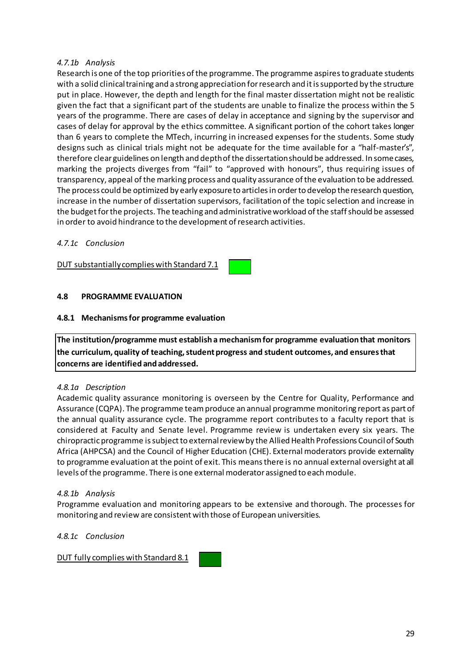# *4.7.1b Analysis*

Research is one of the top priorities of the programme. The programme aspires to graduate students with a solid clinical training and a strong appreciation for research and it is supported by the structure put in place. However, the depth and length for the final master dissertation might not be realistic given the fact that a significant part of the students are unable to finalize the process within the 5 years of the programme. There are cases of delay in acceptance and signing by the supervisor and cases of delay for approval by the ethics committee. A significant portion of the cohort takes longer than 6 years to complete the MTech, incurring in increased expenses for the students. Some study designs such as clinical trials might not be adequate for the time available for a "half-master's", therefore clear guidelines on length and depthofthe dissertationshould be addressed. In somecases, marking the projects diverges from "fail" to "approved with honours", thus requiring issues of transparency, appeal ofthe marking process and quality assurance ofthe evaluation to be addressed. The process could be optimized by early exposureto articlesin orderto develop theresearch question, increase in the number of dissertation supervisors, facilitation of the topic selection and increase in the budget for the projects. The teaching and administrative workload of the staff should be assessed in order to avoid hindrance to the development of research activities.

### *4.7.1c Conclusion*

DUT substantiallycomplies with Standard 7.1

### **4.8 PROGRAMME EVALUATION**

### **4.8.1 Mechanismsfor programme evaluation**

**The institution/programme must establish a mechanismfor programme evaluation that monitors the curriculum, quality of teaching,studentprogress and student outcomes, and ensuresthat concerns are identified andaddressed.**

#### *4.8.1a Description*

Academic quality assurance monitoring is overseen by the Centre for Quality, Performance and Assurance (CQPA). The programme teamproduce an annual programme monitoring report as part of the annual quality assurance cycle. The programme report contributes to a faculty report that is considered at Faculty and Senate level. Programme review is undertaken every six years. The chiropractic programme is subject to external review by the Allied Health Professions Council of South Africa (AHPCSA) and the Council of Higher Education (CHE). External moderators provide externality to programme evaluation at the point of exit. This meansthere is no annual external oversight at all levels of the programme. There is one external moderator assigned to each module.

#### *4.8.1b Analysis*

Programme evaluation and monitoring appears to be extensive and thorough. The processes for monitoring and review are consistent with those of European universities.

#### *4.8.1c Conclusion*

DUT fully complies with Standard 8.1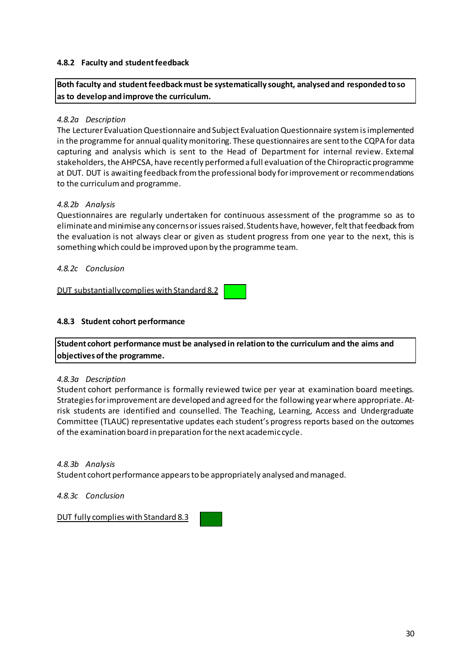### **4.8.2 Faculty and studentfeedback**

**Both faculty and studentfeedbackmust be systematically sought, analysed and responded toso as to develop andimprove the curriculum.**

### *4.8.2a Description*

The Lecturer EvaluationQuestionnaire and Subject EvaluationQuestionnaire systemisimplemented in the programme for annual quality monitoring. These questionnaires are sent to the CQPA for data capturing and analysis which is sent to the Head of Department for internal review. External stakeholders, the AHPCSA, have recently performed a full evaluation of the Chiropractic programme at DUT. DUT is awaiting feedback fromthe professional body forimprovement or recommendations to the curriculumand programme.

### *4.8.2b Analysis*

Questionnaires are regularly undertaken for continuous assessment of the programme so as to eliminateandminimiseany concernsorissuesraised.Students have, however, feltthatfeedback from the evaluation is not always clear or given as student progress from one year to the next, this is somethingwhich could be improved upon by the programme team.

*4.8.2c Conclusion*

DUT substantiallycomplies with Standard 8.2

### **4.8.3 Student cohort performance**

**Student cohort performance must be analysed in relation to the curriculum and the aims and objectives ofthe programme.**

#### *4.8.3a Description*

Student cohort performance is formally reviewed twice per year at examination board meetings. Strategiesforimprovement are developed and agreed for the following yearwhere appropriate. Atrisk students are identified and counselled. The Teaching, Learning, Access and Undergraduate Committee (TLAUC) representative updates each student's progress reports based on the outcomes of the examination board in preparation forthe next academic cycle.

*4.8.3b Analysis*

Student cohort performance appearsto be appropriately analysed andmanaged.

*4.8.3c Conclusion*

DUT fully complies with Standard 8.3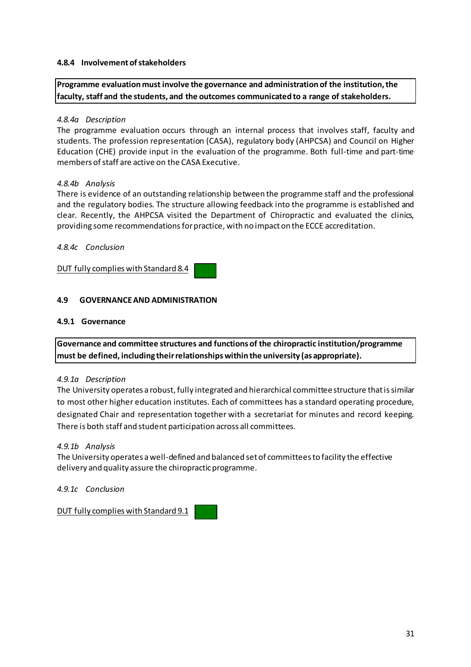### **4.8.4 Involvementofstakeholders**

**Programme evaluation must involve the governance and administration of the institution,the faculty, staff and the students, and the outcomes communicated to a range of stakeholders.**

### *4.8.4a Description*

The programme evaluation occurs through an internal process that involves staff, faculty and students. The profession representation (CASA), regulatory body (AHPCSA) and Council on Higher Education (CHE) provide input in the evaluation of the programme. Both full-time and part-time members of staff are active on the CASA Executive.

### *4.8.4b Analysis*

There is evidence of an outstanding relationship between the programme staff and the professional and the regulatory bodies. The structure allowing feedback into the programme is established and clear. Recently, the AHPCSA visited the Department of Chiropractic and evaluated the clinics, providing some recommendationsforpractice, with no impact on the ECCE accreditation.

### *4.8.4c Conclusion*

DUT fully complies with Standard 8.4

### **4.9 GOVERNANCEAND ADMINISTRATION**

#### **4.9.1 Governance**

**Governance and committee structures and functions of the chiropractic institution/programme must be defined, including theirrelationshipswithin the university (as appropriate).**

#### *4.9.1a Description*

The University operates a robust, fully integrated and hierarchical committeestructure thatissimilar to most other higher education institutes. Each of committees has a standard operating procedure, designated Chair and representation together with a secretariat for minutes and record keeping. There is both staff and student participation across all committees.

#### *4.9.1b Analysis*

The University operates awell-defined and balanced set of committeesto facility the effective delivery and quality assure the chiropracticprogramme.

*4.9.1c Conclusion*

DUT fully complies with Standard 9.1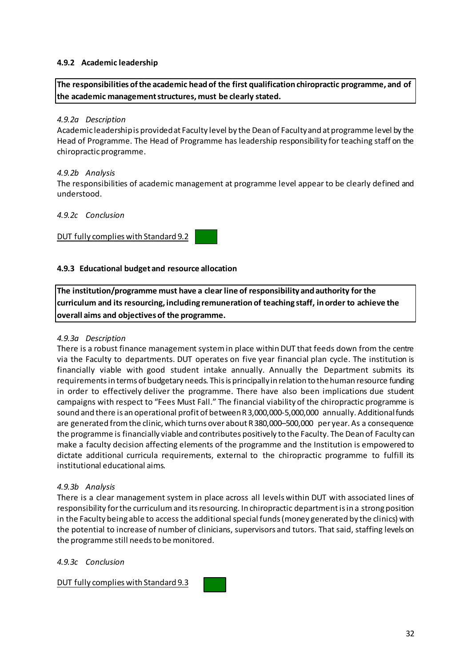### **4.9.2 Academic leadership**

**The responsibilities ofthe academic headof the first qualification chiropractic programme, and of the academic managementstructures, must be clearly stated.**

### *4.9.2a Description*

Academic leadershipis providedat Faculty level by the Dean of Facultyand atprogramme level by the Head of Programme. The Head of Programme has leadership responsibility for teaching staff on the chiropractic programme.

### *4.9.2b Analysis*

The responsibilities of academic management at programme level appear to be clearly defined and understood.

#### *4.9.2c Conclusion*

### DUT fully complies with Standard 9.2

### **4.9.3 Educational budget and resource allocation**

**The institution/programme must have a clear line of responsibility andauthority for the curriculum and its resourcing, including remuneration of teaching staff, inorder to achieve the overall aims and objectives of the programme.**

### *4.9.3a Description*

There is a robust finance management systemin place withinDUT that feeds down from the centre via the Faculty to departments. DUT operates on five year financial plan cycle. The institution is financially viable with good student intake annually. Annually the Department submits its requirements in terms of budgetary needs. This is principally in relation to the human resource funding in order to effectively deliver the programme. There have also been implications due student campaigns with respect to "Fees Must Fall." The financial viability of the chiropractic programme is sound and there is an operational profit of betweenR3,000,000-5,000,000 annually. Additionalfunds are generated fromthe clinic, which turns over about R380,000–500,000 per year. As a consequence the programme is financially viable and contributes positively to the Faculty. The Dean of Faculty can make a faculty decision affecting elements of the programme and the Institution is empowered to dictate additional curricula requirements, external to the chiropractic programme to fulfill its institutional educational aims.

#### *4.9.3b Analysis*

There is a clear management system in place across all levels within DUT with associated lines of responsibility forthe curriculumand itsresourcing. In chiropractic departmentisin a strong position in the Faculty being able to access the additional special funds (money generated by the clinics) with the potential to increase of number of clinicians, supervisors and tutors. That said, staffing levels on the programme still needs to be monitored.

#### *4.9.3c Conclusion*

DUT fully complies with Standard 9.3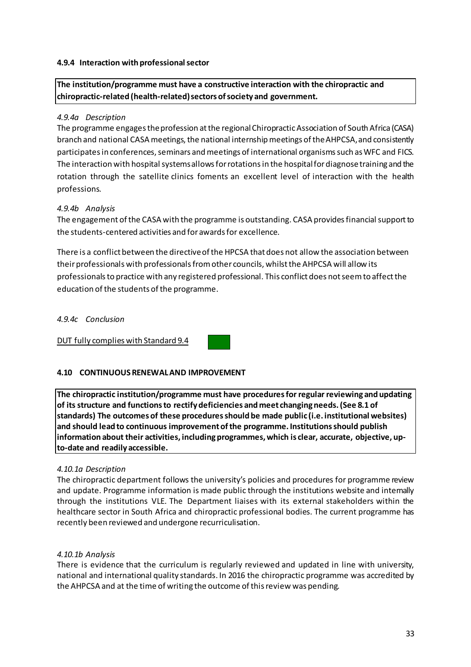### **4.9.4 Interaction withprofessionalsector**

# **The institution/programme must have a constructive interaction with the chiropractic and chiropractic-related (health-related)sectors ofsociety and government.**

### *4.9.4a Description*

The programme engages the profession at the regional Chiropractic Association of South Africa (CASA) branch and national CASA meetings, the national internship meetings of the AHPCSA, and consistently participates in conferences, seminars and meetings of international organisms such as WFC and FICS. The interaction with hospital systems allows for rotations in the hospital for diagnose training and the rotation through the satellite clinics foments an excellent level of interaction with the health professions.

### *4.9.4b Analysis*

The engagement of the CASA with the programme is outstanding. CASA provides financial support to the students-centered activities and for awardsfor excellence.

There is a conflict between the directive of the HPCSA that does not allow the association between their professionals with professionals from other councils, whilst the AHPCSA will allow its professionals to practice with any registered professional. This conflict does not seem to affect the education of the students of the programme.

#### *4.9.4c Conclusion*

DUT fully complies with Standard 9.4



# **4.10 CONTINUOUSRENEWALAND IMPROVEMENT**

**The chiropractic institution/programme must have proceduresfor regular reviewing andupdating of its structure and functionsto rectify deficiencies andmeet changingneeds.(See 8.1 of standards) The outcomes of these proceduresshould be made public (i.e. institutional websites) and should leadto continuous improvementofthe programme. Institutionsshould publish information about their activities, includingprogrammes, which is clear, accurate, objective, upto-date and readily accessible.**

#### *4.10.1a Description*

The chiropractic department follows the university's policies and procedures for programme review and update. Programme information is made public through the institutions website and internally through the institutions VLE. The Department liaises with its external stakeholders within the healthcare sector in South Africa and chiropractic professional bodies. The current programme has recently been reviewed and undergone recurriculisation.

#### *4.10.1b Analysis*

There is evidence that the curriculum is regularly reviewed and updated in line with university, national and international quality standards. In 2016 the chiropractic programme was accredited by the AHPCSA and at the time of writing the outcome of this review was pending.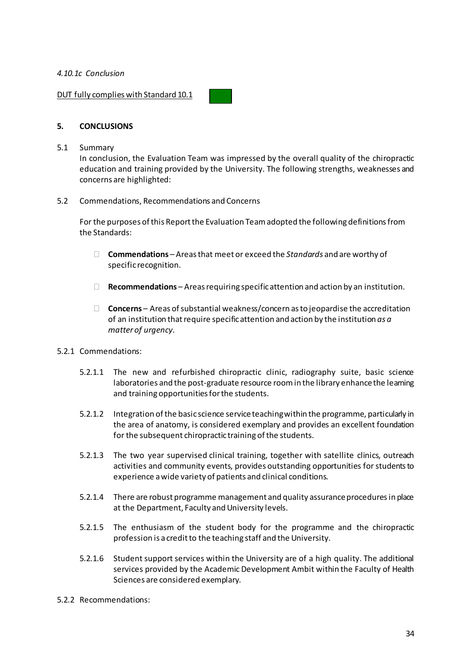### *4.10.1c Conclusion*

DUT fully complies with Standard 10.1

### **5. CONCLUSIONS**

#### 5.1 Summary

In conclusion, the Evaluation Team was impressed by the overall quality of the chiropractic education and training provided by the University. The following strengths, weaknesses and concerns are highlighted:

#### 5.2 Commendations, Recommendations and Concerns

For the purposes of this Report the Evaluation Team adopted the following definitions from the Standards:

- **Commendations** Areasthat meet or exceed the *Standards* and are worthy of specific recognition.
- **Recommendations** Areasrequiring specificattention and action by an institution.
- $\Box$  **Concerns** Areas of substantial weakness/concern as to jeopardise the accreditation of an institution thatrequire specificattention and action by the institution *as a matter of urgency.*
- 5.2.1 Commendations:
	- 5.2.1.1 The new and refurbished chiropractic clinic, radiography suite, basic science laboratories and the post-graduate resource room in the library enhance the leaming and training opportunities for the students.
	- 5.2.1.2 Integration of the basic science service teaching within the programme, particularly in the area of anatomy, is considered exemplary and provides an excellent foundation for the subsequent chiropractic training of the students.
	- 5.2.1.3 The two year supervised clinical training, together with satellite clinics, outreach activities and community events, provides outstanding opportunities for students to experience awide variety of patients and clinical conditions.
	- 5.2.1.4 There are robust programme management and quality assurance procedures in place at the Department, Faculty and University levels.
	- 5.2.1.5 The enthusiasm of the student body for the programme and the chiropractic profession is a credit to the teaching staff and the University.
	- 5.2.1.6 Student support services within the University are of a high quality. The additional services provided by the Academic Development Ambit within the Faculty of Health Sciences are considered exemplary.
- 5.2.2 Recommendations: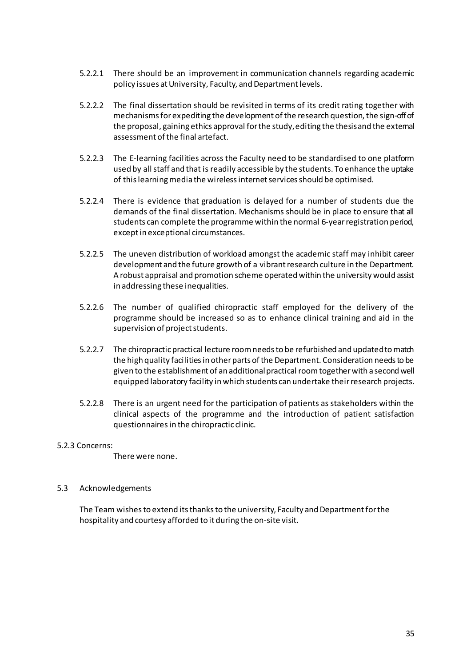- 5.2.2.1 There should be an improvement in communication channels regarding academic policy issues at University, Faculty, and Department levels.
- 5.2.2.2 The final dissertation should be revisited in terms of its credit rating together with mechanisms for expediting the development of the research question, the sign-off of the proposal, gaining ethics approval forthe study,editing the thesisand the external assessment of the final artefact.
- 5.2.2.3 The E-learning facilities across the Faculty need to be standardised to one platform used by all staff and that is readily accessible by the students. To enhance the uptake of this learning media the wireless internet services should be optimised.
- 5.2.2.4 There is evidence that graduation is delayed for a number of students due the demands of the final dissertation. Mechanisms should be in place to ensure that all students can complete the programme within the normal 6-yearregistration period, exceptin exceptional circumstances.
- 5.2.2.5 The uneven distribution of workload amongst the academic staff may inhibit career development and the future growth of a vibrant research culture in the Department. A robust appraisal and promotion scheme operated within the university would assist in addressing these inequalities.
- 5.2.2.6 The number of qualified chiropractic staff employed for the delivery of the programme should be increased so as to enhance clinical training and aid in the supervision of project students.
- 5.2.2.7 The chiropractic practical lecture room needs to be refurbished and updated to match the high quality facilities in other parts of the Department. Consideration needs to be given to the establishment of an additionalpractical roomtogetherwith a second well equipped laboratory facility inwhich students can undertake theirresearch projects.
- 5.2.2.8 There is an urgent need for the participation of patients as stakeholders within the clinical aspects of the programme and the introduction of patient satisfaction questionnaires in the chiropractic clinic.

#### 5.2.3 Concerns:

There were none.

# 5.3 Acknowledgements

The Team wishes to extend its thanks to the university, Faculty and Department for the hospitality and courtesy afforded to it during the on-site visit.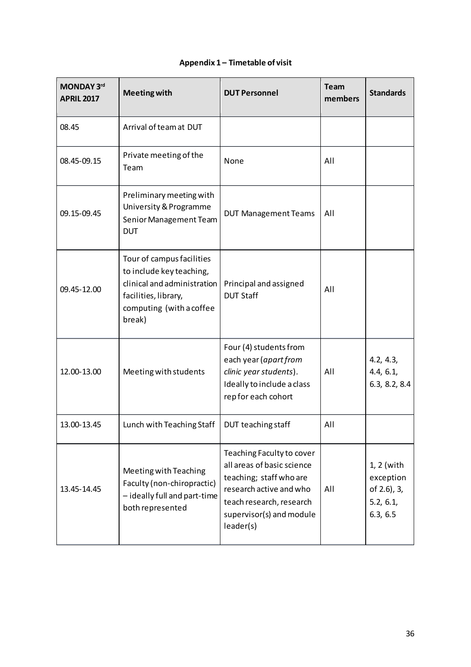| MONDAY 3rd<br><b>APRIL 2017</b> | <b>Meeting with</b>                                                                                                                                | <b>DUT Personnel</b>                                                                                                                                                               | <b>Team</b><br>members | <b>Standards</b>                                                  |
|---------------------------------|----------------------------------------------------------------------------------------------------------------------------------------------------|------------------------------------------------------------------------------------------------------------------------------------------------------------------------------------|------------------------|-------------------------------------------------------------------|
| 08.45                           | Arrival of team at DUT                                                                                                                             |                                                                                                                                                                                    |                        |                                                                   |
| 08.45-09.15                     | Private meeting of the<br>Team                                                                                                                     | None                                                                                                                                                                               | All                    |                                                                   |
| 09.15-09.45                     | Preliminary meeting with<br>University & Programme<br>Senior Management Team<br><b>DUT</b>                                                         | <b>DUT Management Teams</b>                                                                                                                                                        | All                    |                                                                   |
| 09.45-12.00                     | Tour of campus facilities<br>to include key teaching,<br>clinical and administration<br>facilities, library,<br>computing (with a coffee<br>break) | Principal and assigned<br><b>DUT Staff</b>                                                                                                                                         | All                    |                                                                   |
| 12.00-13.00                     | Meeting with students                                                                                                                              | Four (4) students from<br>each year (apart from<br>clinic year students).<br>Ideally to include a class<br>rep for each cohort                                                     | All                    | 4.2, 4.3,<br>4.4, 6.1,<br>6.3, 8.2, 8.4                           |
| 13.00-13.45                     | Lunch with Teaching Staff                                                                                                                          | DUT teaching staff                                                                                                                                                                 | All                    |                                                                   |
| 13.45-14.45                     | Meeting with Teaching<br>Faculty (non-chiropractic)<br>- ideally full and part-time<br>both represented                                            | Teaching Faculty to cover<br>all areas of basic science<br>teaching; staff who are<br>research active and who<br>teach research, research<br>supervisor(s) and module<br>leader(s) | All                    | $1, 2$ (with<br>exception<br>of 2.6), 3,<br>5.2, 6.1,<br>6.3, 6.5 |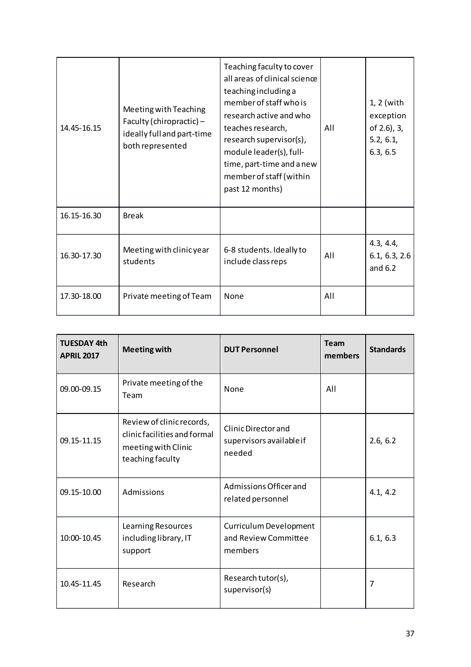| 14.45-16.15 | Meeting with Teaching<br>Faculty (chiropractic) $-$<br>ideally full and part-time<br>both represented | Teaching faculty to cover<br>all areas of clinical science<br>teaching including a<br>member of staff who is<br>research active and who<br>teaches research,<br>research supervisor(s),<br>module leader(s), full-<br>time, part-time and a new<br>member of staff (within<br>past 12 months) | All | $1, 2$ (with<br>exception<br>of 2.6), 3,<br>5.2, 6.1,<br>6.3, 6.5 |
|-------------|-------------------------------------------------------------------------------------------------------|-----------------------------------------------------------------------------------------------------------------------------------------------------------------------------------------------------------------------------------------------------------------------------------------------|-----|-------------------------------------------------------------------|
| 16.15-16.30 | <b>Break</b>                                                                                          |                                                                                                                                                                                                                                                                                               |     |                                                                   |
| 16.30-17.30 | Meeting with clinic year<br>students                                                                  | 6-8 students. Ideally to<br>include class reps                                                                                                                                                                                                                                                | All | 4.3, 4.4,<br>6.1, 6.3, 2.6<br>and $6.2$                           |
| 17.30-18.00 | Private meeting of Team                                                                               | None                                                                                                                                                                                                                                                                                          | All |                                                                   |

| <b>TUESDAY 4th</b><br><b>APRIL 2017</b> | <b>Meeting with</b>                                                                                  | <b>DUT Personnel</b>                                      | <b>Team</b><br>members | <b>Standards</b> |
|-----------------------------------------|------------------------------------------------------------------------------------------------------|-----------------------------------------------------------|------------------------|------------------|
| 09.00-09.15                             | Private meeting of the<br>Team                                                                       | <b>None</b>                                               | All                    |                  |
| 09.15-11.15                             | Review of clinic records,<br>clinic facilities and formal<br>meeting with Clinic<br>teaching faculty | Clinic Director and<br>supervisors available if<br>needed |                        | 2.6, 6.2         |
| 09.15-10.00                             | Admissions                                                                                           | Admissions Officer and<br>related personnel               |                        | 4.1, 4.2         |
| 10:00-10.45                             | Learning Resources<br>including library, IT<br>support                                               | Curriculum Development<br>and Review Committee<br>members |                        | 6.1, 6.3         |
| 10.45-11.45                             | Research                                                                                             | Research tutor(s),<br>supervisor(s)                       |                        | 7                |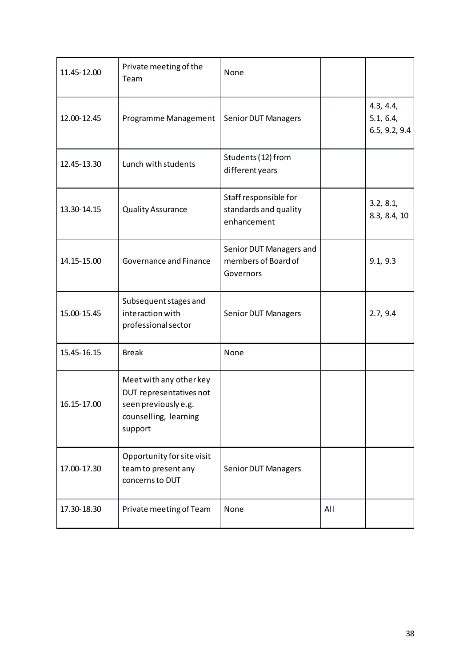| 11.45-12.00 | Private meeting of the<br>Team                                                                                 | None                                                          |     |                                         |
|-------------|----------------------------------------------------------------------------------------------------------------|---------------------------------------------------------------|-----|-----------------------------------------|
| 12.00-12.45 | Programme Management                                                                                           | <b>Senior DUT Managers</b>                                    |     | 4.3, 4.4,<br>5.1, 6.4,<br>6.5, 9.2, 9.4 |
| 12.45-13.30 | Lunch with students                                                                                            | Students (12) from<br>different years                         |     |                                         |
| 13.30-14.15 | <b>Quality Assurance</b>                                                                                       | Staff responsible for<br>standards and quality<br>enhancement |     | 3.2, 8.1,<br>8.3, 8.4, 10               |
| 14.15-15.00 | Governance and Finance                                                                                         | Senior DUT Managers and<br>members of Board of<br>Governors   |     | 9.1, 9.3                                |
| 15.00-15.45 | Subsequent stages and<br>interaction with<br>professional sector                                               | <b>Senior DUT Managers</b>                                    |     | 2.7, 9.4                                |
| 15.45-16.15 | <b>Break</b>                                                                                                   | None                                                          |     |                                         |
| 16.15-17.00 | Meet with any other key<br>DUT representatives not<br>seen previously e.g.<br>counselling, learning<br>support |                                                               |     |                                         |
| 17.00-17.30 | Opportunity for site visit<br>team to present any<br>concerns to DUT                                           | Senior DUT Managers                                           |     |                                         |
| 17.30-18.30 | Private meeting of Team                                                                                        | None                                                          | All |                                         |